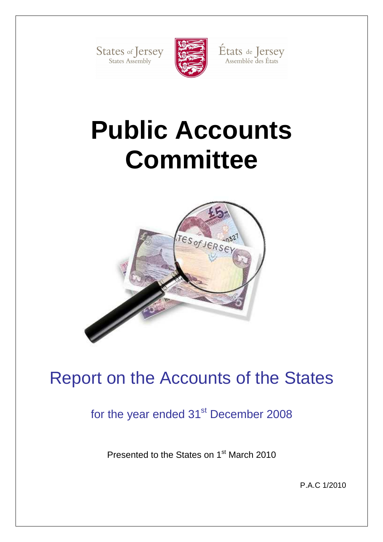States of Jersey



États de Jersey<br>Assemblée des États

# **Public Accounts Committee**



## Report on the Accounts of the States

for the year ended 31<sup>st</sup> December 2008

Presented to the States on 1<sup>st</sup> March 2010

P.A.C 1/2010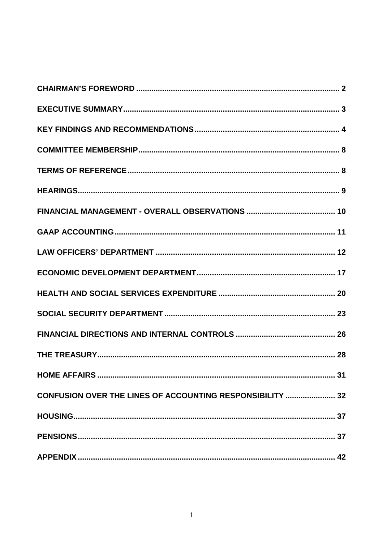| CONFUSION OVER THE LINES OF ACCOUNTING RESPONSIBILITY  32 |
|-----------------------------------------------------------|
|                                                           |
|                                                           |
|                                                           |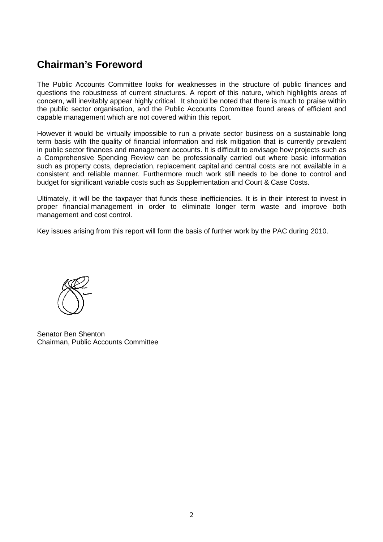## **Chairman's Foreword**

The Public Accounts Committee looks for weaknesses in the structure of public finances and questions the robustness of current structures. A report of this nature, which highlights areas of concern, will inevitably appear highly critical. It should be noted that there is much to praise within the public sector organisation, and the Public Accounts Committee found areas of efficient and capable management which are not covered within this report.

However it would be virtually impossible to run a private sector business on a sustainable long term basis with the quality of financial information and risk mitigation that is currently prevalent in public sector finances and management accounts. It is difficult to envisage how projects such as a Comprehensive Spending Review can be professionally carried out where basic information such as property costs, depreciation, replacement capital and central costs are not available in a consistent and reliable manner. Furthermore much work still needs to be done to control and budget for significant variable costs such as Supplementation and Court & Case Costs.

Ultimately, it will be the taxpayer that funds these inefficiencies. It is in their interest to invest in proper financial management in order to eliminate longer term waste and improve both management and cost control.

Key issues arising from this report will form the basis of further work by the PAC during 2010.



Senator Ben Shenton Chairman, Public Accounts Committee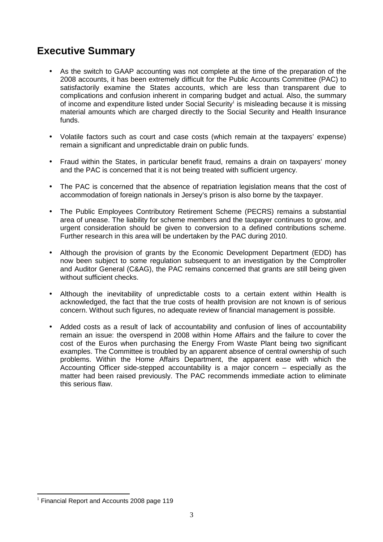## **Executive Summary**

- As the switch to GAAP accounting was not complete at the time of the preparation of the 2008 accounts, it has been extremely difficult for the Public Accounts Committee (PAC) to satisfactorily examine the States accounts, which are less than transparent due to complications and confusion inherent in comparing budget and actual. Also, the summary of income and expenditure listed under Social Security<sup>1</sup> is misleading because it is missing material amounts which are charged directly to the Social Security and Health Insurance funds.
- Volatile factors such as court and case costs (which remain at the taxpayers' expense) remain a significant and unpredictable drain on public funds.
- Fraud within the States, in particular benefit fraud, remains a drain on taxpayers' money and the PAC is concerned that it is not being treated with sufficient urgency.
- The PAC is concerned that the absence of repatriation legislation means that the cost of accommodation of foreign nationals in Jersey's prison is also borne by the taxpayer.
- The Public Employees Contributory Retirement Scheme (PECRS) remains a substantial area of unease. The liability for scheme members and the taxpayer continues to grow, and urgent consideration should be given to conversion to a defined contributions scheme. Further research in this area will be undertaken by the PAC during 2010.
- Although the provision of grants by the Economic Development Department (EDD) has now been subject to some regulation subsequent to an investigation by the Comptroller and Auditor General (C&AG), the PAC remains concerned that grants are still being given without sufficient checks.
- Although the inevitability of unpredictable costs to a certain extent within Health is acknowledged, the fact that the true costs of health provision are not known is of serious concern. Without such figures, no adequate review of financial management is possible.
- Added costs as a result of lack of accountability and confusion of lines of accountability remain an issue: the overspend in 2008 within Home Affairs and the failure to cover the cost of the Euros when purchasing the Energy From Waste Plant being two significant examples. The Committee is troubled by an apparent absence of central ownership of such problems. Within the Home Affairs Department, the apparent ease with which the Accounting Officer side-stepped accountability is a major concern – especially as the matter had been raised previously. The PAC recommends immediate action to eliminate this serious flaw.

 $\overline{a}$  $1$  Financial Report and Accounts 2008 page 119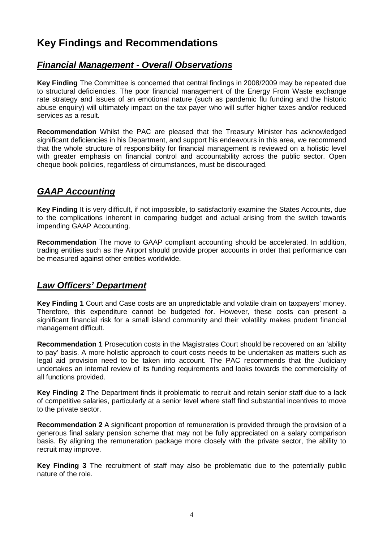## **Key Findings and Recommendations**

## **Financial Management - Overall Observations**

**Key Finding** The Committee is concerned that central findings in 2008/2009 may be repeated due to structural deficiencies. The poor financial management of the Energy From Waste exchange rate strategy and issues of an emotional nature (such as pandemic flu funding and the historic abuse enquiry) will ultimately impact on the tax payer who will suffer higher taxes and/or reduced services as a result.

**Recommendation** Whilst the PAC are pleased that the Treasury Minister has acknowledged significant deficiencies in his Department, and support his endeavours in this area, we recommend that the whole structure of responsibility for financial management is reviewed on a holistic level with greater emphasis on financial control and accountability across the public sector. Open cheque book policies, regardless of circumstances, must be discouraged.

## **GAAP Accounting**

**Key Finding** It is very difficult, if not impossible, to satisfactorily examine the States Accounts, due to the complications inherent in comparing budget and actual arising from the switch towards impending GAAP Accounting.

**Recommendation** The move to GAAP compliant accounting should be accelerated. In addition, trading entities such as the Airport should provide proper accounts in order that performance can be measured against other entities worldwide.

## **Law Officers' Department**

**Key Finding 1** Court and Case costs are an unpredictable and volatile drain on taxpayers' money. Therefore, this expenditure cannot be budgeted for. However, these costs can present a significant financial risk for a small island community and their volatility makes prudent financial management difficult.

**Recommendation 1** Prosecution costs in the Magistrates Court should be recovered on an 'ability to pay' basis. A more holistic approach to court costs needs to be undertaken as matters such as legal aid provision need to be taken into account. The PAC recommends that the Judiciary undertakes an internal review of its funding requirements and looks towards the commerciality of all functions provided.

**Key Finding 2** The Department finds it problematic to recruit and retain senior staff due to a lack of competitive salaries, particularly at a senior level where staff find substantial incentives to move to the private sector.

**Recommendation 2** A significant proportion of remuneration is provided through the provision of a generous final salary pension scheme that may not be fully appreciated on a salary comparison basis. By aligning the remuneration package more closely with the private sector, the ability to recruit may improve.

**Key Finding 3** The recruitment of staff may also be problematic due to the potentially public nature of the role.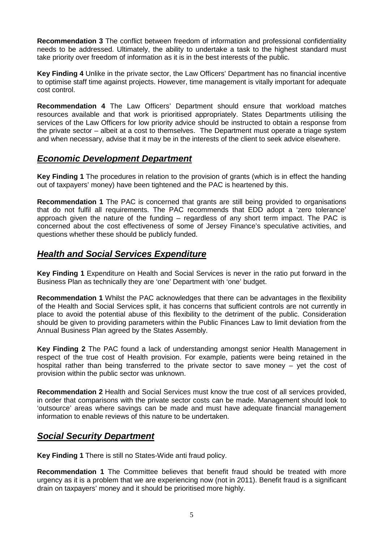**Recommendation 3** The conflict between freedom of information and professional confidentiality needs to be addressed. Ultimately, the ability to undertake a task to the highest standard must take priority over freedom of information as it is in the best interests of the public.

**Key Finding 4** Unlike in the private sector, the Law Officers' Department has no financial incentive to optimise staff time against projects. However, time management is vitally important for adequate cost control.

**Recommendation 4** The Law Officers' Department should ensure that workload matches resources available and that work is prioritised appropriately. States Departments utilising the services of the Law Officers for low priority advice should be instructed to obtain a response from the private sector – albeit at a cost to themselves. The Department must operate a triage system and when necessary, advise that it may be in the interests of the client to seek advice elsewhere.

#### **Economic Development Department**

**Key Finding 1** The procedures in relation to the provision of grants (which is in effect the handing out of taxpayers' money) have been tightened and the PAC is heartened by this.

**Recommendation 1** The PAC is concerned that grants are still being provided to organisations that do not fulfil all requirements. The PAC recommends that EDD adopt a 'zero tolerance' approach given the nature of the funding – regardless of any short term impact. The PAC is concerned about the cost effectiveness of some of Jersey Finance's speculative activities, and questions whether these should be publicly funded.

## **Health and Social Services Expenditure**

**Key Finding 1** Expenditure on Health and Social Services is never in the ratio put forward in the Business Plan as technically they are 'one' Department with 'one' budget.

**Recommendation 1** Whilst the PAC acknowledges that there can be advantages in the flexibility of the Health and Social Services split, it has concerns that sufficient controls are not currently in place to avoid the potential abuse of this flexibility to the detriment of the public. Consideration should be given to providing parameters within the Public Finances Law to limit deviation from the Annual Business Plan agreed by the States Assembly.

**Key Finding 2** The PAC found a lack of understanding amongst senior Health Management in respect of the true cost of Health provision. For example, patients were being retained in the hospital rather than being transferred to the private sector to save money – yet the cost of provision within the public sector was unknown.

**Recommendation 2** Health and Social Services must know the true cost of all services provided, in order that comparisons with the private sector costs can be made. Management should look to 'outsource' areas where savings can be made and must have adequate financial management information to enable reviews of this nature to be undertaken.

## **Social Security Department**

**Key Finding 1** There is still no States-Wide anti fraud policy.

**Recommendation 1** The Committee believes that benefit fraud should be treated with more urgency as it is a problem that we are experiencing now (not in 2011). Benefit fraud is a significant drain on taxpayers' money and it should be prioritised more highly.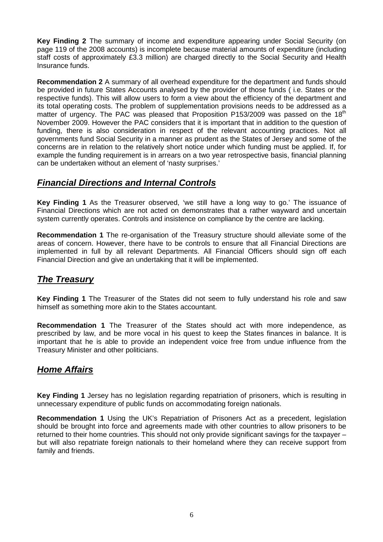**Key Finding 2** The summary of income and expenditure appearing under Social Security (on page 119 of the 2008 accounts) is incomplete because material amounts of expenditure (including staff costs of approximately £3.3 million) are charged directly to the Social Security and Health Insurance funds.

**Recommendation 2** A summary of all overhead expenditure for the department and funds should be provided in future States Accounts analysed by the provider of those funds ( i.e. States or the respective funds). This will allow users to form a view about the efficiency of the department and its total operating costs. The problem of supplementation provisions needs to be addressed as a matter of urgency. The PAC was pleased that Proposition P153/2009 was passed on the  $18<sup>th</sup>$ November 2009. However the PAC considers that it is important that in addition to the question of funding, there is also consideration in respect of the relevant accounting practices. Not all governments fund Social Security in a manner as prudent as the States of Jersey and some of the concerns are in relation to the relatively short notice under which funding must be applied. If, for example the funding requirement is in arrears on a two year retrospective basis, financial planning can be undertaken without an element of 'nasty surprises.'

## **Financial Directions and Internal Controls**

**Key Finding 1** As the Treasurer observed, 'we still have a long way to go.' The issuance of Financial Directions which are not acted on demonstrates that a rather wayward and uncertain system currently operates. Controls and insistence on compliance by the centre are lacking.

**Recommendation 1** The re-organisation of the Treasury structure should alleviate some of the areas of concern. However, there have to be controls to ensure that all Financial Directions are implemented in full by all relevant Departments. All Financial Officers should sign off each Financial Direction and give an undertaking that it will be implemented.

## **The Treasury**

**Key Finding 1** The Treasurer of the States did not seem to fully understand his role and saw himself as something more akin to the States accountant.

**Recommendation 1** The Treasurer of the States should act with more independence, as prescribed by law, and be more vocal in his quest to keep the States finances in balance. It is important that he is able to provide an independent voice free from undue influence from the Treasury Minister and other politicians.

## **Home Affairs**

**Key Finding 1** Jersey has no legislation regarding repatriation of prisoners, which is resulting in unnecessary expenditure of public funds on accommodating foreign nationals.

**Recommendation 1** Using the UK's Repatriation of Prisoners Act as a precedent, legislation should be brought into force and agreements made with other countries to allow prisoners to be returned to their home countries. This should not only provide significant savings for the taxpayer – but will also repatriate foreign nationals to their homeland where they can receive support from family and friends.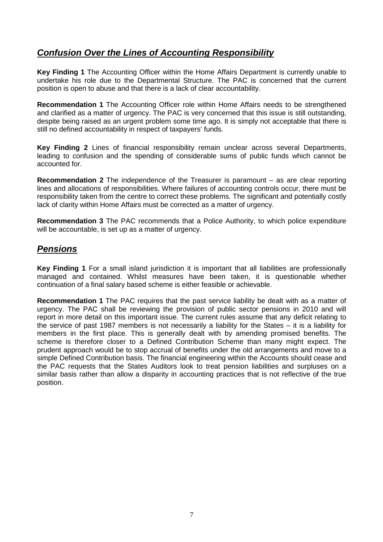## **Confusion Over the Lines of Accounting Responsibility**

**Key Finding 1** The Accounting Officer within the Home Affairs Department is currently unable to undertake his role due to the Departmental Structure. The PAC is concerned that the current position is open to abuse and that there is a lack of clear accountability.

**Recommendation 1** The Accounting Officer role within Home Affairs needs to be strengthened and clarified as a matter of urgency. The PAC is very concerned that this issue is still outstanding, despite being raised as an urgent problem some time ago. It is simply not acceptable that there is still no defined accountability in respect of taxpayers' funds.

**Key Finding 2** Lines of financial responsibility remain unclear across several Departments, leading to confusion and the spending of considerable sums of public funds which cannot be accounted for.

**Recommendation 2** The independence of the Treasurer is paramount – as are clear reporting lines and allocations of responsibilities. Where failures of accounting controls occur, there must be responsibility taken from the centre to correct these problems. The significant and potentially costly lack of clarity within Home Affairs must be corrected as a matter of urgency.

**Recommendation 3** The PAC recommends that a Police Authority, to which police expenditure will be accountable, is set up as a matter of urgency.

### **Pensions**

**Key Finding 1** For a small island jurisdiction it is important that all liabilities are professionally managed and contained. Whilst measures have been taken, it is questionable whether continuation of a final salary based scheme is either feasible or achievable.

**Recommendation 1** The PAC requires that the past service liability be dealt with as a matter of urgency. The PAC shall be reviewing the provision of public sector pensions in 2010 and will report in more detail on this important issue. The current rules assume that any deficit relating to the service of past 1987 members is not necessarily a liability for the States – it is a liability for members in the first place. This is generally dealt with by amending promised benefits. The scheme is therefore closer to a Defined Contribution Scheme than many might expect. The prudent approach would be to stop accrual of benefits under the old arrangements and move to a simple Defined Contribution basis. The financial engineering within the Accounts should cease and the PAC requests that the States Auditors look to treat pension liabilities and surpluses on a similar basis rather than allow a disparity in accounting practices that is not reflective of the true position.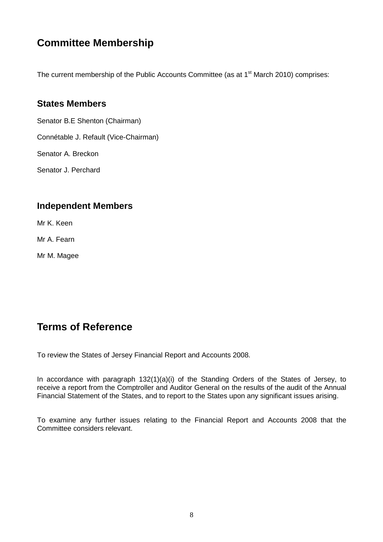## **Committee Membership**

The current membership of the Public Accounts Committee (as at  $1<sup>st</sup>$  March 2010) comprises:

#### **States Members**

Senator B.E Shenton (Chairman) Connétable J. Refault (Vice-Chairman) Senator A. Breckon Senator J. Perchard

## **Independent Members**

Mr K. Keen

Mr A. Fearn

Mr M. Magee

## **Terms of Reference**

To review the States of Jersey Financial Report and Accounts 2008.

In accordance with paragraph 132(1)(a)(i) of the Standing Orders of the States of Jersey, to receive a report from the Comptroller and Auditor General on the results of the audit of the Annual Financial Statement of the States, and to report to the States upon any significant issues arising.

To examine any further issues relating to the Financial Report and Accounts 2008 that the Committee considers relevant.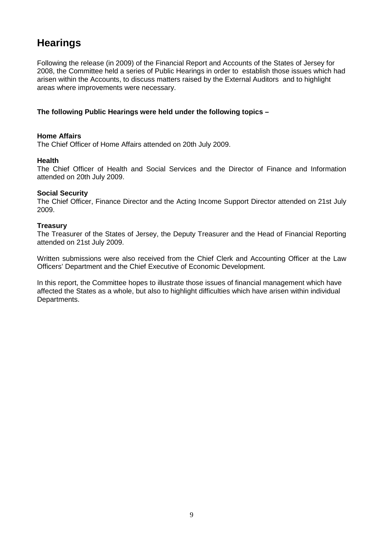## **Hearings**

Following the release (in 2009) of the Financial Report and Accounts of the States of Jersey for 2008, the Committee held a series of Public Hearings in order to establish those issues which had arisen within the Accounts, to discuss matters raised by the External Auditors and to highlight areas where improvements were necessary.

#### **The following Public Hearings were held under the following topics –**

#### **Home Affairs**

The Chief Officer of Home Affairs attended on 20th July 2009.

#### **Health**

The Chief Officer of Health and Social Services and the Director of Finance and Information attended on 20th July 2009.

#### **Social Security**

The Chief Officer, Finance Director and the Acting Income Support Director attended on 21st July 2009.

#### **Treasury**

The Treasurer of the States of Jersey, the Deputy Treasurer and the Head of Financial Reporting attended on 21st July 2009.

Written submissions were also received from the Chief Clerk and Accounting Officer at the Law Officers' Department and the Chief Executive of Economic Development.

In this report, the Committee hopes to illustrate those issues of financial management which have affected the States as a whole, but also to highlight difficulties which have arisen within individual Departments.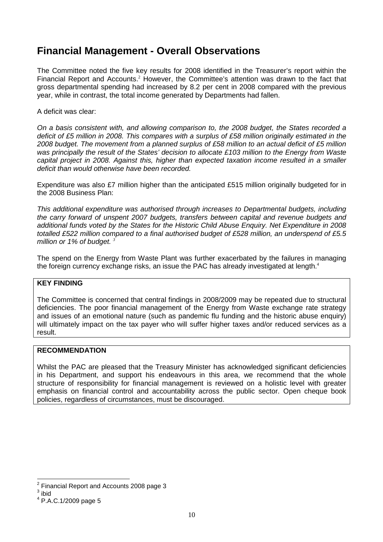## **Financial Management - Overall Observations**

The Committee noted the five key results for 2008 identified in the Treasurer's report within the Financial Report and Accounts.<sup>2</sup> However, the Committee's attention was drawn to the fact that gross departmental spending had increased by 8.2 per cent in 2008 compared with the previous year, while in contrast, the total income generated by Departments had fallen.

#### A deficit was clear:

On a basis consistent with, and allowing comparison to, the 2008 budget, the States recorded a deficit of £5 million in 2008. This compares with a surplus of £58 million originally estimated in the 2008 budget. The movement from a planned surplus of £58 million to an actual deficit of £5 million was principally the result of the States' decision to allocate £103 million to the Energy from Waste capital project in 2008. Against this, higher than expected taxation income resulted in a smaller deficit than would otherwise have been recorded.

Expenditure was also £7 million higher than the anticipated £515 million originally budgeted for in the 2008 Business Plan:

This additional expenditure was authorised through increases to Departmental budgets, including the carry forward of unspent 2007 budgets, transfers between capital and revenue budgets and additional funds voted by the States for the Historic Child Abuse Enquiry. Net Expenditure in 2008 totalled £522 million compared to a final authorised budget of £528 million, an underspend of £5.5 million or 1% of budget. *<sup>3</sup>*

The spend on the Energy from Waste Plant was further exacerbated by the failures in managing the foreign currency exchange risks, an issue the PAC has already investigated at length. $4$ 

#### **KEY FINDING**

The Committee is concerned that central findings in 2008/2009 may be repeated due to structural deficiencies. The poor financial management of the Energy from Waste exchange rate strategy and issues of an emotional nature (such as pandemic flu funding and the historic abuse enquiry) will ultimately impact on the tax payer who will suffer higher taxes and/or reduced services as a result.

#### **RECOMMENDATION**

Whilst the PAC are pleased that the Treasury Minister has acknowledged significant deficiencies in his Department, and support his endeavours in this area, we recommend that the whole structure of responsibility for financial management is reviewed on a holistic level with greater emphasis on financial control and accountability across the public sector. Open cheque book policies, regardless of circumstances, must be discouraged.

 2 Financial Report and Accounts 2008 page 3

 $3$  ibid

<sup>4</sup> P.A.C.1/2009 page 5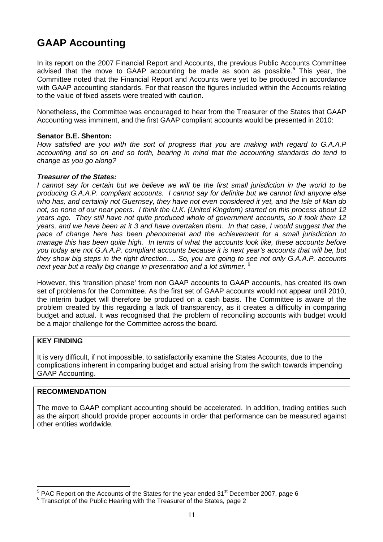## **GAAP Accounting**

In its report on the 2007 Financial Report and Accounts, the previous Public Accounts Committee advised that the move to GAAP accounting be made as soon as possible.<sup>5</sup> This year, the Committee noted that the Financial Report and Accounts were yet to be produced in accordance with GAAP accounting standards. For that reason the figures included within the Accounts relating to the value of fixed assets were treated with caution.

Nonetheless, the Committee was encouraged to hear from the Treasurer of the States that GAAP Accounting was imminent, and the first GAAP compliant accounts would be presented in 2010:

#### **Senator B.E. Shenton:**

How satisfied are you with the sort of progress that you are making with regard to G.A.A.P accounting and so on and so forth, bearing in mind that the accounting standards do tend to change as you go along?

#### **Treasurer of the States:**

I cannot say for certain but we believe we will be the first small jurisdiction in the world to be producing G.A.A.P. compliant accounts. I cannot say for definite but we cannot find anyone else who has, and certainly not Guernsey, they have not even considered it yet, and the Isle of Man do not, so none of our near peers. I think the U.K. (United Kingdom) started on this process about 12 years ago. They still have not quite produced whole of government accounts, so it took them 12 years, and we have been at it 3 and have overtaken them. In that case, I would suggest that the pace of change here has been phenomenal and the achievement for a small jurisdiction to manage this has been quite high. In terms of what the accounts look like, these accounts before you today are not G.A.A.P. compliant accounts because it is next year's accounts that will be, but they show big steps in the right direction…. So, you are going to see not only G.A.A.P. accounts next year but a really big change in presentation and a lot slimmer. <sup>6</sup>

However, this 'transition phase' from non GAAP accounts to GAAP accounts, has created its own set of problems for the Committee. As the first set of GAAP accounts would not appear until 2010, the interim budget will therefore be produced on a cash basis. The Committee is aware of the problem created by this regarding a lack of transparency, as it creates a difficulty in comparing budget and actual. It was recognised that the problem of reconciling accounts with budget would be a major challenge for the Committee across the board.

#### **KEY FINDING**

It is very difficult, if not impossible, to satisfactorily examine the States Accounts, due to the complications inherent in comparing budget and actual arising from the switch towards impending GAAP Accounting.

#### **RECOMMENDATION**

The move to GAAP compliant accounting should be accelerated. In addition, trading entities such as the airport should provide proper accounts in order that performance can be measured against other entities worldwide.

 5 PAC Report on the Accounts of the States for the year ended 31st December 2007, page 6

<sup>&</sup>lt;sup>6</sup> Transcript of the Public Hearing with the Treasurer of the States, page 2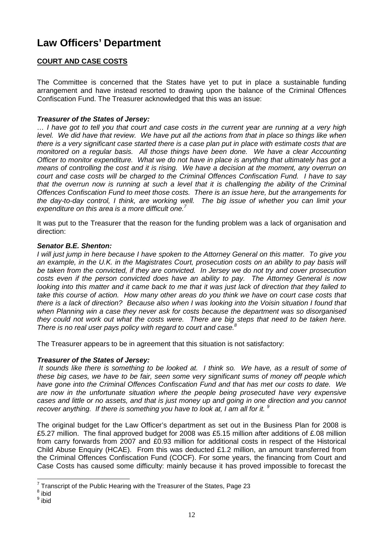## **Law Officers' Department**

#### **COURT AND CASE COSTS**

The Committee is concerned that the States have yet to put in place a sustainable funding arrangement and have instead resorted to drawing upon the balance of the Criminal Offences Confiscation Fund. The Treasurer acknowledged that this was an issue:

#### **Treasurer of the States of Jersey:**

… I have got to tell you that court and case costs in the current year are running at a very high level. We did have that review. We have put all the actions from that in place so things like when there is a very significant case started there is a case plan put in place with estimate costs that are monitored on a regular basis. All those things have been done. We have a clear Accounting Officer to monitor expenditure. What we do not have in place is anything that ultimately has got a means of controlling the cost and it is rising. We have a decision at the moment, any overrun on court and case costs will be charged to the Criminal Offences Confiscation Fund. I have to say that the overrun now is running at such a level that it is challenging the ability of the Criminal Offences Confiscation Fund to meet those costs. There is an issue here, but the arrangements for the day-to-day control, I think, are working well. The big issue of whether you can limit your expenditure on this area is a more difficult one.<sup>7</sup>

It was put to the Treasurer that the reason for the funding problem was a lack of organisation and direction:

#### **Senator B.E. Shenton:**

I will just jump in here because I have spoken to the Attorney General on this matter. To give you an example, in the U.K. in the Magistrates Court, prosecution costs on an ability to pay basis will be taken from the convicted, if they are convicted. In Jersey we do not try and cover prosecution costs even if the person convicted does have an ability to pay. The Attorney General is now looking into this matter and it came back to me that it was just lack of direction that they failed to take this course of action. How many other areas do you think we have on court case costs that there is a lack of direction? Because also when I was looking into the Voisin situation I found that when Planning win a case they never ask for costs because the department was so disorganised they could not work out what the costs were. There are big steps that need to be taken here. There is no real user pays policy with regard to court and case. $8$ 

The Treasurer appears to be in agreement that this situation is not satisfactory:

#### **Treasurer of the States of Jersey:**

 It sounds like there is something to be looked at. I think so. We have, as a result of some of these big cases, we have to be fair, seen some very significant sums of money off people which have gone into the Criminal Offences Confiscation Fund and that has met our costs to date. We are now in the unfortunate situation where the people being prosecuted have very expensive cases and little or no assets, and that is just money up and going in one direction and you cannot recover anything. If there is something you have to look at, I am all for it.  $9$ 

The original budget for the Law Officer's department as set out in the Business Plan for 2008 is £5.27 million. The final approved budget for 2008 was £5.15 million after additions of £.08 million from carry forwards from 2007 and £0.93 million for additional costs in respect of the Historical Child Abuse Enquiry (HCAE). From this was deducted £1.2 million, an amount transferred from the Criminal Offences Confiscation Fund (COCF). For some years, the financing from Court and Case Costs has caused some difficulty: mainly because it has proved impossible to forecast the

Transcript of the Public Hearing with the Treasurer of the States, Page 23

<sup>8</sup> ibid

<sup>&</sup>lt;sup>9</sup> ibid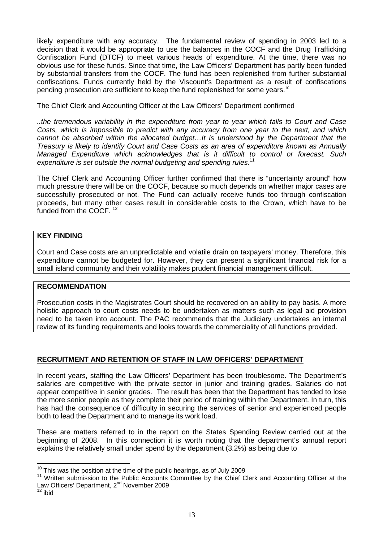likely expenditure with any accuracy. The fundamental review of spending in 2003 led to a decision that it would be appropriate to use the balances in the COCF and the Drug Trafficking Confiscation Fund (DTCF) to meet various heads of expenditure. At the time, there was no obvious use for these funds. Since that time, the Law Officers' Department has partly been funded by substantial transfers from the COCF. The fund has been replenished from further substantial confiscations. Funds currently held by the Viscount's Department as a result of confiscations pending prosecution are sufficient to keep the fund replenished for some vears.<sup>10</sup>

The Chief Clerk and Accounting Officer at the Law Officers' Department confirmed

..the tremendous variability in the expenditure from year to year which falls to Court and Case Costs, which is impossible to predict with any accuracy from one year to the next, and which cannot be absorbed within the allocated budget…It is understood by the Department that the Treasury is likely to identify Court and Case Costs as an area of expenditure known as Annually Managed Expenditure which acknowledges that is it difficult to control or forecast. Such expenditure is set outside the normal budgeting and spending rules.<sup>11</sup>

The Chief Clerk and Accounting Officer further confirmed that there is "uncertainty around" how much pressure there will be on the COCF, because so much depends on whether major cases are successfully prosecuted or not. The Fund can actually receive funds too through confiscation proceeds, but many other cases result in considerable costs to the Crown, which have to be funded from the COCF.<sup>12</sup>

#### **KEY FINDING**

Court and Case costs are an unpredictable and volatile drain on taxpayers' money. Therefore, this expenditure cannot be budgeted for. However, they can present a significant financial risk for a small island community and their volatility makes prudent financial management difficult.

#### **RECOMMENDATION**

Prosecution costs in the Magistrates Court should be recovered on an ability to pay basis. A more holistic approach to court costs needs to be undertaken as matters such as legal aid provision need to be taken into account. The PAC recommends that the Judiciary undertakes an internal review of its funding requirements and looks towards the commerciality of all functions provided.

#### **RECRUITMENT AND RETENTION OF STAFF IN LAW OFFICERS' DEPARTMENT**

In recent years, staffing the Law Officers' Department has been troublesome. The Department's salaries are competitive with the private sector in junior and training grades. Salaries do not appear competitive in senior grades. The result has been that the Department has tended to lose the more senior people as they complete their period of training within the Department. In turn, this has had the consequence of difficulty in securing the services of senior and experienced people both to lead the Department and to manage its work load.

These are matters referred to in the report on the States Spending Review carried out at the beginning of 2008. In this connection it is worth noting that the department's annual report explains the relatively small under spend by the department (3.2%) as being due to

 $\overline{1}$ 

 $10$  This was the position at the time of the public hearings, as of July 2009

<sup>&</sup>lt;sup>11</sup> Written submission to the Public Accounts Committee by the Chief Clerk and Accounting Officer at the Law Officers' Department, 2<sup>nd</sup> November 2009

 $12$  ibid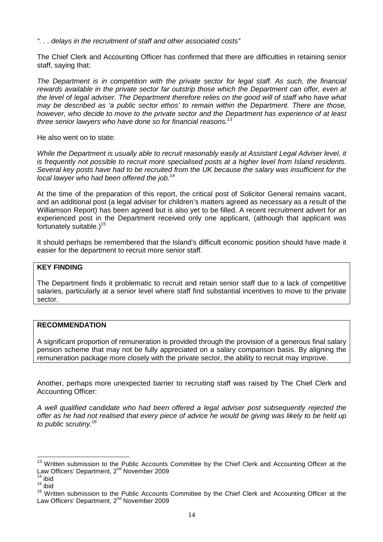". . . delays in the recruitment of staff and other associated costs"

The Chief Clerk and Accounting Officer has confirmed that there are difficulties in retaining senior staff, saying that:

The Department is in competition with the private sector for legal staff. As such, the financial rewards available in the private sector far outstrip those which the Department can offer, even at the level of legal adviser. The Department therefore relies on the good will of staff who have what may be described as 'a public sector ethos' to remain within the Department. There are those, however, who decide to move to the private sector and the Department has experience of at least three senior lawyers who have done so for financial reasons.<sup>13</sup>

He also went on to state:

While the Department is usually able to recruit reasonably easily at Assistant Legal Adviser level, it is frequently not possible to recruit more specialised posts at a higher level from Island residents. Several key posts have had to be recruited from the UK because the salary was insufficient for the local lawyer who had been offered the job.<sup>14</sup>

At the time of the preparation of this report, the critical post of Solicitor General remains vacant, and an additional post (a legal adviser for children's matters agreed as necessary as a result of the Williamson Report) has been agreed but is also yet to be filled. A recent recruitment advert for an experienced post in the Department received only one applicant, (although that applicant was fortunately suitable.)<sup>15</sup>

It should perhaps be remembered that the Island's difficult economic position should have made it easier for the department to recruit more senior staff.

#### **KEY FINDING**

The Department finds it problematic to recruit and retain senior staff due to a lack of competitive salaries, particularly at a senior level where staff find substantial incentives to move to the private sector.

#### **RECOMMENDATION**

A significant proportion of remuneration is provided through the provision of a generous final salary pension scheme that may not be fully appreciated on a salary comparison basis. By aligning the remuneration package more closely with the private sector, the ability to recruit may improve.

Another, perhaps more unexpected barrier to recruiting staff was raised by The Chief Clerk and Accounting Officer:

A well qualified candidate who had been offered a legal adviser post subsequently rejected the offer as he had not realised that every piece of advice he would be giving was likely to be held up to public scrutiny.<sup>16</sup>

l

<sup>&</sup>lt;sup>13</sup> Written submission to the Public Accounts Committee by the Chief Clerk and Accounting Officer at the Law Officers' Department, 2<sup>nd</sup> November 2009

 $14$  ibid

 $15$  ibid

<sup>&</sup>lt;sup>16</sup> Written submission to the Public Accounts Committee by the Chief Clerk and Accounting Officer at the Law Officers' Department, 2<sup>nd</sup> November 2009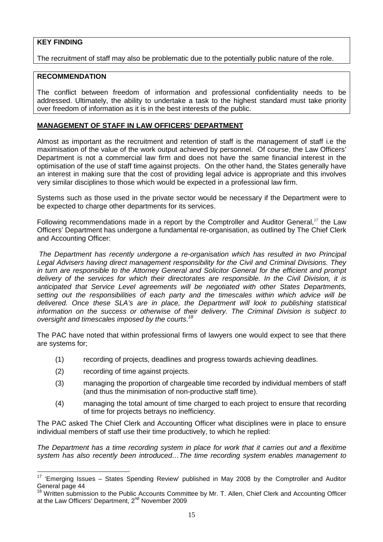#### **KEY FINDING**

The recruitment of staff may also be problematic due to the potentially public nature of the role.

#### **RECOMMENDATION**

The conflict between freedom of information and professional confidentiality needs to be addressed. Ultimately, the ability to undertake a task to the highest standard must take priority over freedom of information as it is in the best interests of the public.

#### **MANAGEMENT OF STAFF IN LAW OFFICERS' DEPARTMENT**

Almost as important as the recruitment and retention of staff is the management of staff i.e the maximisation of the value of the work output achieved by personnel. Of course, the Law Officers' Department is not a commercial law firm and does not have the same financial interest in the optimisation of the use of staff time against projects. On the other hand, the States generally have an interest in making sure that the cost of providing legal advice is appropriate and this involves very similar disciplines to those which would be expected in a professional law firm.

Systems such as those used in the private sector would be necessary if the Department were to be expected to charge other departments for its services.

Following recommendations made in a report by the Comptroller and Auditor General,*<sup>17</sup>* the Law Officers' Department has undergone a fundamental re-organisation, as outlined by The Chief Clerk and Accounting Officer:

 The Department has recently undergone a re-organisation which has resulted in two Principal Legal Advisers having direct management responsibility for the Civil and Criminal Divisions. They in turn are responsible to the Attorney General and Solicitor General for the efficient and prompt delivery of the services for which their directorates are responsible. In the Civil Division, it is anticipated that Service Level agreements will be negotiated with other States Departments, setting out the responsibilities of each party and the timescales within which advice will be delivered. Once these SLA's are in place, the Department will look to publishing statistical information on the success or otherwise of their delivery. The Criminal Division is subject to oversight and timescales imposed by the courts.<sup>18</sup>

The PAC have noted that within professional firms of lawyers one would expect to see that there are systems for;

- (1) recording of projects, deadlines and progress towards achieving deadlines.
- (2) recording of time against projects.

 $\overline{\phantom{a}}$ 

- (3) managing the proportion of chargeable time recorded by individual members of staff (and thus the minimisation of non-productive staff time).
- (4) managing the total amount of time charged to each project to ensure that recording of time for projects betrays no inefficiency.

The PAC asked The Chief Clerk and Accounting Officer what disciplines were in place to ensure individual members of staff use their time productively, to which he replied:

The Department has a time recording system in place for work that it carries out and a flexitime system has also recently been introduced…The time recording system enables management to

 $17$  'Emerging Issues – States Spending Review' published in May 2008 by the Comptroller and Auditor General page 44

<sup>&</sup>lt;sup>18</sup> Written submission to the Public Accounts Committee by Mr. T. Allen, Chief Clerk and Accounting Officer at the Law Officers' Department, 2<sup>nd</sup> November 2009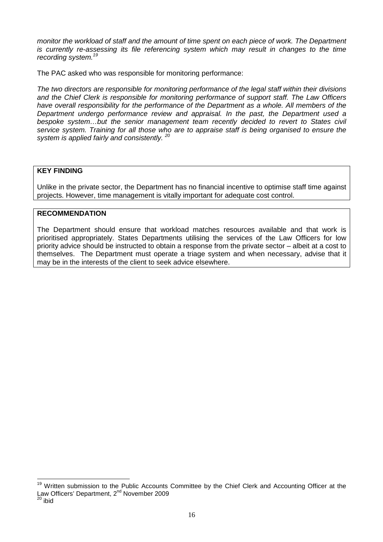monitor the workload of staff and the amount of time spent on each piece of work. The Department is currently re-assessing its file referencing system which may result in changes to the time recording system.<sup>19</sup>

The PAC asked who was responsible for monitoring performance:

The two directors are responsible for monitoring performance of the legal staff within their divisions and the Chief Clerk is responsible for monitoring performance of support staff. The Law Officers have overall responsibility for the performance of the Department as a whole. All members of the Department undergo performance review and appraisal. In the past, the Department used a bespoke system…but the senior management team recently decided to revert to States civil service system. Training for all those who are to appraise staff is being organised to ensure the system is applied fairly and consistently.<sup>20</sup>

#### **KEY FINDING**

Unlike in the private sector, the Department has no financial incentive to optimise staff time against projects. However, time management is vitally important for adequate cost control.

#### **RECOMMENDATION**

The Department should ensure that workload matches resources available and that work is prioritised appropriately. States Departments utilising the services of the Law Officers for low priority advice should be instructed to obtain a response from the private sector – albeit at a cost to themselves. The Department must operate a triage system and when necessary, advise that it may be in the interests of the client to seek advice elsewhere.

 $\overline{a}$ 

<sup>&</sup>lt;sup>19</sup> Written submission to the Public Accounts Committee by the Chief Clerk and Accounting Officer at the Law Officers' Department, 2<sup>nd</sup> November 2009

<sup>20</sup> ibid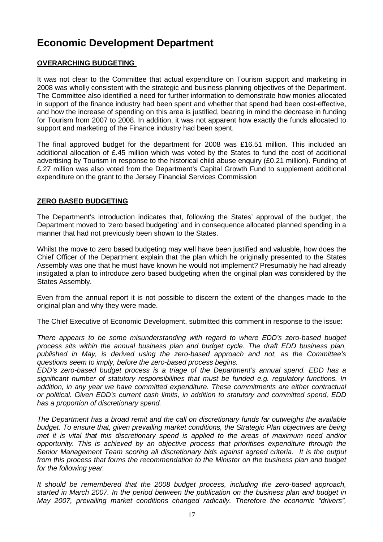## **Economic Development Department**

#### **OVERARCHING BUDGETING**

It was not clear to the Committee that actual expenditure on Tourism support and marketing in 2008 was wholly consistent with the strategic and business planning objectives of the Department. The Committee also identified a need for further information to demonstrate how monies allocated in support of the finance industry had been spent and whether that spend had been cost-effective, and how the increase of spending on this area is justified, bearing in mind the decrease in funding for Tourism from 2007 to 2008. In addition, it was not apparent how exactly the funds allocated to support and marketing of the Finance industry had been spent.

The final approved budget for the department for 2008 was £16.51 million. This included an additional allocation of £.45 million which was voted by the States to fund the cost of additional advertising by Tourism in response to the historical child abuse enquiry (£0.21 million). Funding of £.27 million was also voted from the Department's Capital Growth Fund to supplement additional expenditure on the grant to the Jersey Financial Services Commission

#### **ZERO BASED BUDGETING**

The Department's introduction indicates that, following the States' approval of the budget, the Department moved to 'zero based budgeting' and in consequence allocated planned spending in a manner that had not previously been shown to the States.

Whilst the move to zero based budgeting may well have been justified and valuable, how does the Chief Officer of the Department explain that the plan which he originally presented to the States Assembly was one that he must have known he would not implement? Presumably he had already instigated a plan to introduce zero based budgeting when the original plan was considered by the States Assembly.

Even from the annual report it is not possible to discern the extent of the changes made to the original plan and why they were made.

The Chief Executive of Economic Development, submitted this comment in response to the issue:

There appears to be some misunderstanding with regard to where EDD's zero-based budget process sits within the annual business plan and budget cycle. The draft EDD business plan, published in May, is derived using the zero-based approach and not, as the Committee's questions seem to imply, before the zero-based process begins.

EDD's zero-based budget process is a triage of the Department's annual spend. EDD has a significant number of statutory responsibilities that must be funded e.g. regulatory functions. In addition, in any year we have committed expenditure. These commitments are either contractual or political. Given EDD's current cash limits, in addition to statutory and committed spend, EDD has a proportion of discretionary spend.

The Department has a broad remit and the call on discretionary funds far outweighs the available budget. To ensure that, given prevailing market conditions, the Strategic Plan objectives are being met it is vital that this discretionary spend is applied to the areas of maximum need and/or opportunity. This is achieved by an objective process that prioritises expenditure through the Senior Management Team scoring all discretionary bids against agreed criteria. It is the output from this process that forms the recommendation to the Minister on the business plan and budget for the following year.

It should be remembered that the 2008 budget process, including the zero-based approach, started in March 2007. In the period between the publication on the business plan and budget in May 2007, prevailing market conditions changed radically. Therefore the economic "drivers",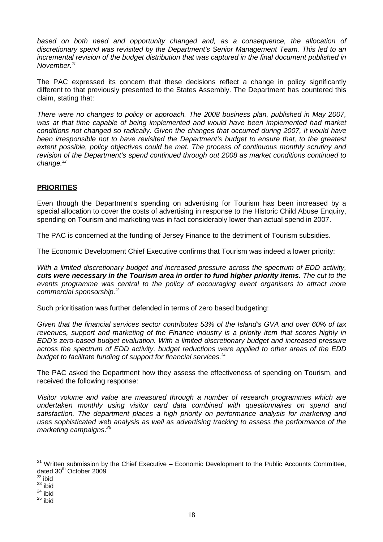based on both need and opportunity changed and, as a consequence, the allocation of discretionary spend was revisited by the Department's Senior Management Team. This led to an incremental revision of the budget distribution that was captured in the final document published in November.*<sup>21</sup>*

The PAC expressed its concern that these decisions reflect a change in policy significantly different to that previously presented to the States Assembly. The Department has countered this claim, stating that:

There were no changes to policy or approach. The 2008 business plan, published in May 2007, was at that time capable of being implemented and would have been implemented had market conditions not changed so radically. Given the changes that occurred during 2007, it would have been irresponsible not to have revisited the Department's budget to ensure that, to the greatest extent possible, policy objectives could be met. The process of continuous monthly scrutiny and revision of the Department's spend continued through out 2008 as market conditions continued to change.*<sup>22</sup>*

#### **PRIORITIES**

Even though the Department's spending on advertising for Tourism has been increased by a special allocation to cover the costs of advertising in response to the Historic Child Abuse Enquiry, spending on Tourism and marketing was in fact considerably lower than actual spend in 2007.

The PAC is concerned at the funding of Jersey Finance to the detriment of Tourism subsidies.

The Economic Development Chief Executive confirms that Tourism was indeed a lower priority:

With a limited discretionary budget and increased pressure across the spectrum of EDD activity. **cuts were necessary in the Tourism area in order to fund higher priority items.** The cut to the events programme was central to the policy of encouraging event organisers to attract more commercial sponsorship.*<sup>23</sup>*

Such prioritisation was further defended in terms of zero based budgeting:

Given that the financial services sector contributes 53% of the Island's GVA and over 60% of tax revenues, support and marketing of the Finance industry is a priority item that scores highly in EDD's zero-based budget evaluation. With a limited discretionary budget and increased pressure across the spectrum of EDD activity, budget reductions were applied to other areas of the EDD budget to facilitate funding of support for financial services.*<sup>24</sup>*

The PAC asked the Department how they assess the effectiveness of spending on Tourism, and received the following response:

Visitor volume and value are measured through a number of research programmes which are undertaken monthly using visitor card data combined with questionnaires on spend and satisfaction. The department places a high priority on performance analysis for marketing and uses sophisticated web analysis as well as advertising tracking to assess the performance of the marketing campaigns.<sup>25</sup>

 $\overline{a}$  $21$  Written submission by the Chief Executive – Economic Development to the Public Accounts Committee, dated 30<sup>th</sup> October 2009

 $22$  ibid

 $23$  ibid

 $24$  ibid

 $25$  ibid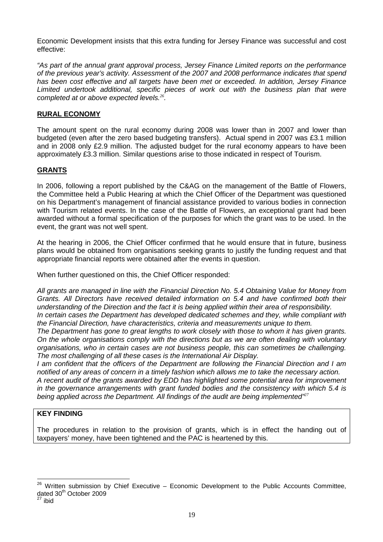Economic Development insists that this extra funding for Jersey Finance was successful and cost effective:

"As part of the annual grant approval process, Jersey Finance Limited reports on the performance of the previous year's activity. Assessment of the 2007 and 2008 performance indicates that spend has been cost effective and all targets have been met or exceeded. In addition, Jersey Finance Limited undertook additional, specific pieces of work out with the business plan that were completed at or above expected levels.*<sup>26</sup>* .

#### **RURAL ECONOMY**

The amount spent on the rural economy during 2008 was lower than in 2007 and lower than budgeted (even after the zero based budgeting transfers). Actual spend in 2007 was £3.1 million and in 2008 only £2.9 million. The adjusted budget for the rural economy appears to have been approximately £3.3 million. Similar questions arise to those indicated in respect of Tourism.

#### **GRANTS**

In 2006, following a report published by the C&AG on the management of the Battle of Flowers, the Committee held a Public Hearing at which the Chief Officer of the Department was questioned on his Department's management of financial assistance provided to various bodies in connection with Tourism related events. In the case of the Battle of Flowers, an exceptional grant had been awarded without a formal specification of the purposes for which the grant was to be used. In the event, the grant was not well spent.

At the hearing in 2006, the Chief Officer confirmed that he would ensure that in future, business plans would be obtained from organisations seeking grants to justify the funding request and that appropriate financial reports were obtained after the events in question.

When further questioned on this, the Chief Officer responded:

All grants are managed in line with the Financial Direction No. 5.4 Obtaining Value for Money from Grants. All Directors have received detailed information on 5.4 and have confirmed both their understanding of the Direction and the fact it is being applied within their area of responsibility. In certain cases the Department has developed dedicated schemes and they, while compliant with

the Financial Direction, have characteristics, criteria and measurements unique to them.

The Department has gone to great lengths to work closely with those to whom it has given grants. On the whole organisations comply with the directions but as we are often dealing with voluntary organisations, who in certain cases are not business people, this can sometimes be challenging. The most challenging of all these cases is the International Air Display.

I am confident that the officers of the Department are following the Financial Direction and I am notified of any areas of concern in a timely fashion which allows me to take the necessary action.

A recent audit of the grants awarded by EDD has highlighted some potential area for improvement in the governance arrangements with grant funded bodies and the consistency with which 5.4 is being applied across the Department. All findings of the audit are being implemented"*<sup>27</sup>*

#### **KEY FINDING**

The procedures in relation to the provision of grants, which is in effect the handing out of taxpayers' money, have been tightened and the PAC is heartened by this.

 $\overline{a}$ 

 $26$  Written submission by Chief Executive – Economic Development to the Public Accounts Committee, dated 30<sup>th</sup> October 2009

ibid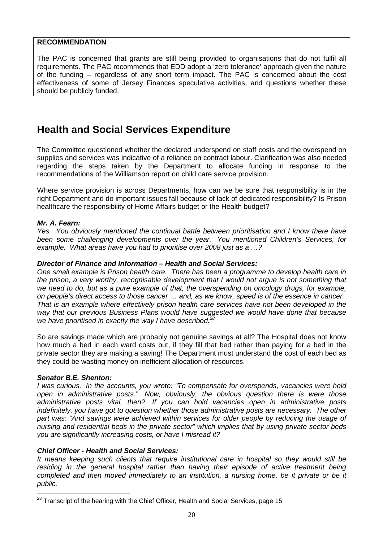#### **RECOMMENDATION**

The PAC is concerned that grants are still being provided to organisations that do not fulfil all requirements. The PAC recommends that EDD adopt a 'zero tolerance' approach given the nature of the funding – regardless of any short term impact. The PAC is concerned about the cost effectiveness of some of Jersey Finances speculative activities, and questions whether these should be publicly funded.

## **Health and Social Services Expenditure**

The Committee questioned whether the declared underspend on staff costs and the overspend on supplies and services was indicative of a reliance on contract labour. Clarification was also needed regarding the steps taken by the Department to allocate funding in response to the recommendations of the Williamson report on child care service provision.

Where service provision is across Departments, how can we be sure that responsibility is in the right Department and do important issues fall because of lack of dedicated responsibility? Is Prison healthcare the responsibility of Home Affairs budget or the Health budget?

#### **Mr. A. Fearn:**

Yes. You obviously mentioned the continual battle between prioritisation and I know there have been some challenging developments over the year. You mentioned Children's Services, for example. What areas have you had to prioritise over 2008 just as a ...?

#### **Director of Finance and Information – Health and Social Services:**

One small example is Prison health care. There has been a programme to develop health care in the prison, a very worthy, recognisable development that I would not argue is not something that we need to do, but as a pure example of that, the overspending on oncology drugs, for example, on people's direct access to those cancer … and, as we know, speed is of the essence in cancer. That is an example where effectively prison health care services have not been developed in the way that our previous Business Plans would have suggested we would have done that because we have prioritised in exactly the way I have described.<sup>28</sup>

So are savings made which are probably not genuine savings at all? The Hospital does not know how much a bed in each ward costs but, if they fill that bed rather than paying for a bed in the private sector they are making a saving! The Department must understand the cost of each bed as they could be wasting money on inefficient allocation of resources.

#### **Senator B.E. Shenton:**

 $\overline{\phantom{a}}$ 

I was curious. In the accounts, you wrote: "To compensate for overspends, vacancies were held open in administrative posts." Now, obviously, the obvious question there is were those administrative posts vital, then? If you can hold vacancies open in administrative posts indefinitely, you have got to question whether those administrative posts are necessary. The other part was: "And savings were achieved within services for older people by reducing the usage of nursing and residential beds in the private sector" which implies that by using private sector beds you are significantly increasing costs, or have I misread it?

#### **Chief Officer - Health and Social Services:**

It means keeping such clients that require institutional care in hospital so they would still be residing in the general hospital rather than having their episode of active treatment being completed and then moved immediately to an institution, a nursing home, be it private or be it public.

 $^{28}$  Transcript of the hearing with the Chief Officer, Health and Social Services, page 15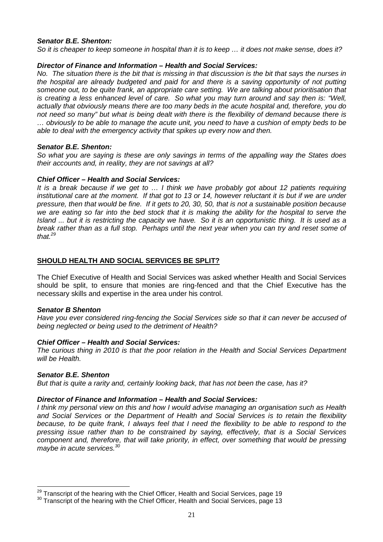#### **Senator B.E. Shenton:**

So it is cheaper to keep someone in hospital than it is to keep … it does not make sense, does it?

#### **Director of Finance and Information – Health and Social Services:**

No. The situation there is the bit that is missing in that discussion is the bit that says the nurses in the hospital are already budgeted and paid for and there is a saving opportunity of not putting someone out, to be quite frank, an appropriate care setting. We are talking about prioritisation that is creating a less enhanced level of care. So what you may turn around and say then is: "Well, actually that obviously means there are too many beds in the acute hospital and, therefore, you do not need so many" but what is being dealt with there is the flexibility of demand because there is … obviously to be able to manage the acute unit, you need to have a cushion of empty beds to be able to deal with the emergency activity that spikes up every now and then.

#### **Senator B.E. Shenton:**

So what you are saying is these are only savings in terms of the appalling way the States does their accounts and, in reality, they are not savings at all?

#### **Chief Officer – Health and Social Services:**

It is a break because if we get to … I think we have probably got about 12 patients requiring institutional care at the moment. If that got to 13 or 14, however reluctant it is but if we are under pressure, then that would be fine. If it gets to 20, 30, 50, that is not a sustainable position because we are eating so far into the bed stock that it is making the ability for the hospital to serve the Island ... but it is restricting the capacity we have. So it is an opportunistic thing. It is used as a break rather than as a full stop. Perhaps until the next year when you can try and reset some of that  $^{29}$ 

#### **SHOULD HEALTH AND SOCIAL SERVICES BE SPLIT?**

The Chief Executive of Health and Social Services was asked whether Health and Social Services should be split, to ensure that monies are ring-fenced and that the Chief Executive has the necessary skills and expertise in the area under his control.

#### **Senator B Shenton**

Have you ever considered ring-fencing the Social Services side so that it can never be accused of being neglected or being used to the detriment of Health?

#### **Chief Officer – Health and Social Services:**

The curious thing in 2010 is that the poor relation in the Health and Social Services Department will be Health.

#### **Senator B.E. Shenton**

 $\overline{a}$ 

But that is quite a rarity and, certainly looking back, that has not been the case, has it?

#### **Director of Finance and Information – Health and Social Services:**

I think my personal view on this and how I would advise managing an organisation such as Health and Social Services or the Department of Health and Social Services is to retain the flexibility because, to be quite frank, I always feel that I need the flexibility to be able to respond to the pressing issue rather than to be constrained by saying, effectively, that is a Social Services component and, therefore, that will take priority, in effect, over something that would be pressing maybe in acute services.<sup>30</sup>

 $29$  Transcript of the hearing with the Chief Officer, Health and Social Services, page 19

 $30$  Transcript of the hearing with the Chief Officer, Health and Social Services, page 13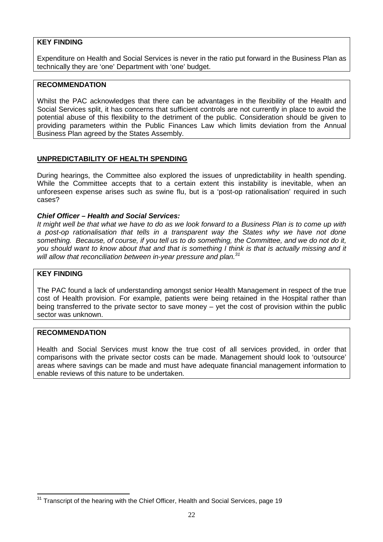#### **KEY FINDING**

Expenditure on Health and Social Services is never in the ratio put forward in the Business Plan as technically they are 'one' Department with 'one' budget.

#### **RECOMMENDATION**

Whilst the PAC acknowledges that there can be advantages in the flexibility of the Health and Social Services split, it has concerns that sufficient controls are not currently in place to avoid the potential abuse of this flexibility to the detriment of the public. Consideration should be given to providing parameters within the Public Finances Law which limits deviation from the Annual Business Plan agreed by the States Assembly.

#### **UNPREDICTABILITY OF HEALTH SPENDING**

During hearings, the Committee also explored the issues of unpredictability in health spending. While the Committee accepts that to a certain extent this instability is inevitable, when an unforeseen expense arises such as swine flu, but is a 'post-op rationalisation' required in such cases?

#### **Chief Officer – Health and Social Services:**

It might well be that what we have to do as we look forward to a Business Plan is to come up with a post-op rationalisation that tells in a transparent way the States why we have not done something. Because, of course, if you tell us to do something, the Committee, and we do not do it. you should want to know about that and that is something I think is that is actually missing and it will allow that reconciliation between in-year pressure and plan. $31$ 

#### **KEY FINDING**

The PAC found a lack of understanding amongst senior Health Management in respect of the true cost of Health provision. For example, patients were being retained in the Hospital rather than being transferred to the private sector to save money – yet the cost of provision within the public sector was unknown.

#### **RECOMMENDATION**

Health and Social Services must know the true cost of all services provided, in order that comparisons with the private sector costs can be made. Management should look to 'outsource' areas where savings can be made and must have adequate financial management information to enable reviews of this nature to be undertaken.

 $\overline{a}$  $31$  Transcript of the hearing with the Chief Officer, Health and Social Services, page 19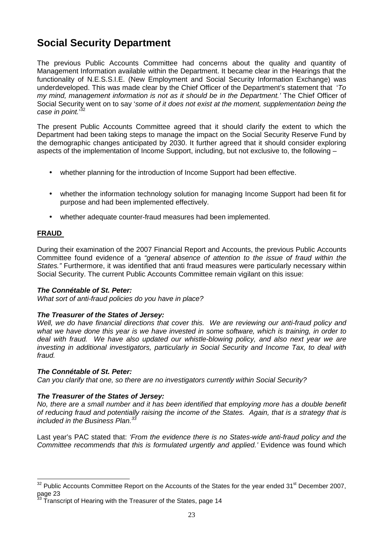## **Social Security Department**

The previous Public Accounts Committee had concerns about the quality and quantity of Management Information available within the Department. It became clear in the Hearings that the functionality of N.E.S.S.I.E. (New Employment and Social Security Information Exchange) was underdeveloped. This was made clear by the Chief Officer of the Department's statement that 'To my mind, management information is not as it should be in the Department.' The Chief Officer of Social Security went on to say 'some of it does not exist at the moment, supplementation being the case in point.'32

The present Public Accounts Committee agreed that it should clarify the extent to which the Department had been taking steps to manage the impact on the Social Security Reserve Fund by the demographic changes anticipated by 2030. It further agreed that it should consider exploring aspects of the implementation of Income Support, including, but not exclusive to, the following –

- whether planning for the introduction of Income Support had been effective.
- whether the information technology solution for managing Income Support had been fit for purpose and had been implemented effectively.
- whether adequate counter-fraud measures had been implemented.

#### **FRAUD**

During their examination of the 2007 Financial Report and Accounts, the previous Public Accounts Committee found evidence of a "general absence of attention to the issue of fraud within the States." Furthermore, it was identified that anti fraud measures were particularly necessary within Social Security. The current Public Accounts Committee remain vigilant on this issue:

#### **The Connétable of St. Peter:**

What sort of anti-fraud policies do you have in place?

#### **The Treasurer of the States of Jersey:**

Well, we do have financial directions that cover this. We are reviewing our anti-fraud policy and what we have done this year is we have invested in some software, which is training, in order to deal with fraud. We have also updated our whistle-blowing policy, and also next year we are investing in additional investigators, particularly in Social Security and Income Tax, to deal with fraud.

#### **The Connétable of St. Peter:**

Can you clarify that one, so there are no investigators currently within Social Security?

#### **The Treasurer of the States of Jersey:**

No, there are a small number and it has been identified that employing more has a double benefit of reducing fraud and potentially raising the income of the States. Again, that is a strategy that is included in the Business Plan.<sup>33</sup>

Last year's PAC stated that: 'From the evidence there is no States-wide anti-fraud policy and the Committee recommends that this is formulated urgently and applied.' Evidence was found which

 $\overline{a}$  $32$  Public Accounts Committee Report on the Accounts of the States for the year ended 31<sup>st</sup> December 2007, page 23

Transcript of Hearing with the Treasurer of the States, page 14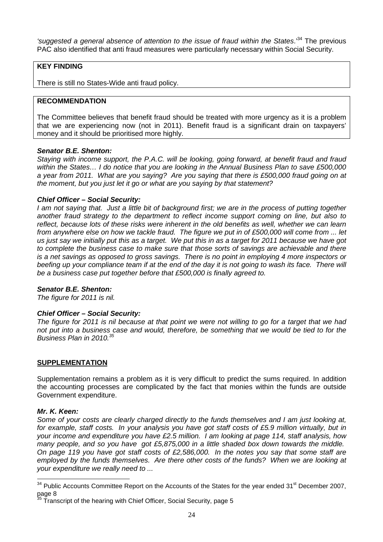'suggested a general absence of attention to the issue of fraud within the States.<sup>34</sup> The previous PAC also identified that anti fraud measures were particularly necessary within Social Security.

#### **KEY FINDING**

There is still no States-Wide anti fraud policy.

#### **RECOMMENDATION**

The Committee believes that benefit fraud should be treated with more urgency as it is a problem that we are experiencing now (not in 2011). Benefit fraud is a significant drain on taxpayers' money and it should be prioritised more highly.

#### **Senator B.E. Shenton:**

Staying with income support, the P.A.C. will be looking, going forward, at benefit fraud and fraud within the States… I do notice that you are looking in the Annual Business Plan to save £500,000 a year from 2011. What are you saying? Are you saying that there is £500,000 fraud going on at the moment, but you just let it go or what are you saying by that statement?

#### **Chief Officer – Social Security:**

I am not saying that. Just a little bit of background first; we are in the process of putting together another fraud strategy to the department to reflect income support coming on line, but also to reflect, because lots of these risks were inherent in the old benefits as well, whether we can learn from anywhere else on how we tackle fraud. The figure we put in of £500,000 will come from ... let us just say we initially put this as a target. We put this in as a target for 2011 because we have got to complete the business case to make sure that those sorts of savings are achievable and there is a net savings as opposed to gross savings. There is no point in employing 4 more inspectors or beefing up your compliance team if at the end of the day it is not going to wash its face. There will be a business case put together before that £500,000 is finally agreed to.

#### **Senator B.E. Shenton:**

The figure for 2011 is nil.

#### **Chief Officer – Social Security:**

The figure for 2011 is nil because at that point we were not willing to go for a target that we had not put into a business case and would, therefore, be something that we would be tied to for the Business Plan in 2010. $35$ 

#### **SUPPLEMENTATION**

Supplementation remains a problem as it is very difficult to predict the sums required. In addition the accounting processes are complicated by the fact that monies within the funds are outside Government expenditure.

#### **Mr. K. Keen:**

Some of your costs are clearly charged directly to the funds themselves and I am just looking at, for example, staff costs. In your analysis you have got staff costs of £5.9 million virtually, but in your income and expenditure you have £2.5 million. I am looking at page 114, staff analysis, how many people, and so you have got £5,875,000 in a little shaded box down towards the middle. On page 119 you have got staff costs of £2,586,000. In the notes you say that some staff are employed by the funds themselves. Are there other costs of the funds? When we are looking at your expenditure we really need to ...

 $\overline{a}$  $34$  Public Accounts Committee Report on the Accounts of the States for the year ended 31<sup>st</sup> December 2007, page  $8\frac{35}{2}$ 

<sup>35</sup> Transcript of the hearing with Chief Officer, Social Security, page 5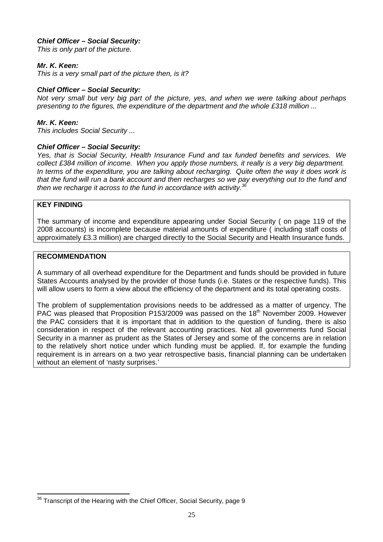#### **Chief Officer – Social Security:**

This is only part of the picture.

#### **Mr. K. Keen:**

This is a very small part of the picture then, is it?

#### **Chief Officer – Social Security:**

Not very small but very big part of the picture, yes, and when we were talking about perhaps presenting to the figures, the expenditure of the department and the whole £318 million ...

#### **Mr. K. Keen:**

This includes Social Security ...

#### **Chief Officer – Social Security:**

Yes, that is Social Security, Health Insurance Fund and tax funded benefits and services. We collect £384 million of income. When you apply those numbers, it really is a very big department. In terms of the expenditure, you are talking about recharging. Quite often the way it does work is that the fund will run a bank account and then recharges so we pay everything out to the fund and then we recharge it across to the fund in accordance with activity.<sup>36</sup>

#### **KEY FINDING**

 $\overline{a}$ 

The summary of income and expenditure appearing under Social Security ( on page 119 of the 2008 accounts) is incomplete because material amounts of expenditure ( including staff costs of approximately £3.3 million) are charged directly to the Social Security and Health Insurance funds.

#### **RECOMMENDATION**

A summary of all overhead expenditure for the Department and funds should be provided in future States Accounts analysed by the provider of those funds (i.e. States or the respective funds). This will allow users to form a view about the efficiency of the department and its total operating costs.

The problem of supplementation provisions needs to be addressed as a matter of urgency. The PAC was pleased that Proposition P153/2009 was passed on the 18<sup>th</sup> November 2009. However the PAC considers that it is important that in addition to the question of funding, there is also consideration in respect of the relevant accounting practices. Not all governments fund Social Security in a manner as prudent as the States of Jersey and some of the concerns are in relation to the relatively short notice under which funding must be applied. If, for example the funding requirement is in arrears on a two year retrospective basis, financial planning can be undertaken without an element of 'nasty surprises.'

 $36$  Transcript of the Hearing with the Chief Officer, Social Security, page 9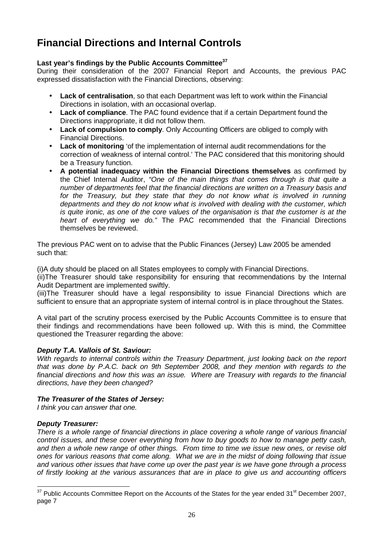## **Financial Directions and Internal Controls**

#### **Last year's findings by the Public Accounts Committee<sup>37</sup>**

During their consideration of the 2007 Financial Report and Accounts, the previous PAC expressed dissatisfaction with the Financial Directions, observing:

- **Lack of centralisation**, so that each Department was left to work within the Financial Directions in isolation, with an occasional overlap.
- **Lack of compliance**. The PAC found evidence that if a certain Department found the Directions inappropriate, it did not follow them.
- **Lack of compulsion to comply**. Only Accounting Officers are obliged to comply with Financial Directions.
- **Lack of monitoring** 'of the implementation of internal audit recommendations for the correction of weakness of internal control.' The PAC considered that this monitoring should be a Treasury function.
- **A potential inadequacy within the Financial Directions themselves** as confirmed by the Chief Internal Auditor, "One of the main things that comes through is that quite a number of departments feel that the financial directions are written on a Treasury basis and for the Treasury, but they state that they do not know what is involved in running departments and they do not know what is involved with dealing with the customer, which is quite ironic, as one of the core values of the organisation is that the customer is at the heart of everything we do." The PAC recommended that the Financial Directions themselves be reviewed.

The previous PAC went on to advise that the Public Finances (Jersey) Law 2005 be amended such that:

(i)A duty should be placed on all States employees to comply with Financial Directions.

(ii)The Treasurer should take responsibility for ensuring that recommendations by the Internal Audit Department are implemented swiftly.

(iii)The Treasurer should have a legal responsibility to issue Financial Directions which are sufficient to ensure that an appropriate system of internal control is in place throughout the States.

A vital part of the scrutiny process exercised by the Public Accounts Committee is to ensure that their findings and recommendations have been followed up. With this is mind, the Committee questioned the Treasurer regarding the above:

#### **Deputy T.A. Vallois of St. Saviour:**

With regards to internal controls within the Treasury Department, just looking back on the report that was done by P.A.C. back on 9th September 2008, and they mention with regards to the financial directions and how this was an issue. Where are Treasury with regards to the financial directions, have they been changed?

#### **The Treasurer of the States of Jersey:**

I think you can answer that one.

#### **Deputy Treasurer:**

 $\overline{a}$ 

There is a whole range of financial directions in place covering a whole range of various financial control issues, and these cover everything from how to buy goods to how to manage petty cash, and then a whole new range of other things. From time to time we issue new ones, or revise old ones for various reasons that come along. What we are in the midst of doing following that issue and various other issues that have come up over the past year is we have gone through a process of firstly looking at the various assurances that are in place to give us and accounting officers

 $37$  Public Accounts Committee Report on the Accounts of the States for the year ended 31<sup>st</sup> December 2007, page 7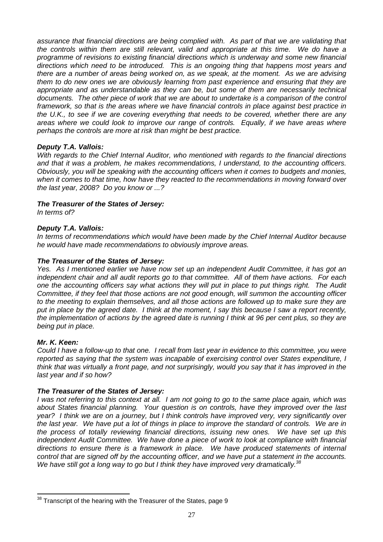assurance that financial directions are being complied with. As part of that we are validating that the controls within them are still relevant, valid and appropriate at this time. We do have a programme of revisions to existing financial directions which is underway and some new financial directions which need to be introduced. This is an ongoing thing that happens most years and there are a number of areas being worked on, as we speak, at the moment. As we are advising them to do new ones we are obviously learning from past experience and ensuring that they are appropriate and as understandable as they can be, but some of them are necessarily technical documents. The other piece of work that we are about to undertake is a comparison of the control framework, so that is the areas where we have financial controls in place against best practice in the U.K., to see if we are covering everything that needs to be covered, whether there are any areas where we could look to improve our range of controls. Equally, if we have areas where perhaps the controls are more at risk than might be best practice.

#### **Deputy T.A. Vallois:**

With regards to the Chief Internal Auditor, who mentioned with regards to the financial directions and that it was a problem, he makes recommendations, I understand, to the accounting officers. Obviously, you will be speaking with the accounting officers when it comes to budgets and monies, when it comes to that time, how have they reacted to the recommendations in moving forward over the last year, 2008? Do you know or ...?

#### **The Treasurer of the States of Jersey:**

In terms of?

#### **Deputy T.A. Vallois:**

In terms of recommendations which would have been made by the Chief Internal Auditor because he would have made recommendations to obviously improve areas.

#### **The Treasurer of the States of Jersey:**

Yes. As I mentioned earlier we have now set up an independent Audit Committee, it has got an independent chair and all audit reports go to that committee. All of them have actions. For each one the accounting officers say what actions they will put in place to put things right. The Audit Committee, if they feel that those actions are not good enough, will summon the accounting officer to the meeting to explain themselves, and all those actions are followed up to make sure they are put in place by the agreed date. I think at the moment, I say this because I saw a report recently, the implementation of actions by the agreed date is running I think at 96 per cent plus, so they are being put in place.

#### **Mr. K. Keen:**

 $\overline{a}$ 

Could I have a follow-up to that one. I recall from last year in evidence to this committee, you were reported as saying that the system was incapable of exercising control over States expenditure, I think that was virtually a front page, and not surprisingly, would you say that it has improved in the last year and if so how?

#### **The Treasurer of the States of Jersey:**

I was not referring to this context at all. I am not going to go to the same place again, which was about States financial planning. Your question is on controls, have they improved over the last year? I think we are on a journey, but I think controls have improved very, very significantly over the last year. We have put a lot of things in place to improve the standard of controls. We are in the process of totally reviewing financial directions, issuing new ones. We have set up this independent Audit Committee. We have done a piece of work to look at compliance with financial directions to ensure there is a framework in place. We have produced statements of internal control that are signed off by the accounting officer, and we have put a statement in the accounts. We have still got a long way to go but I think they have improved very dramatically.<sup>38</sup>

 $38$  Transcript of the hearing with the Treasurer of the States, page 9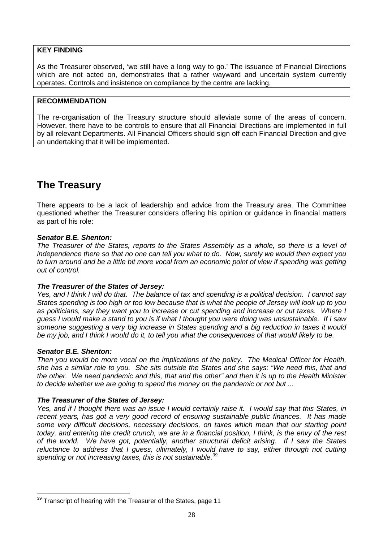#### **KEY FINDING**

As the Treasurer observed, 'we still have a long way to go.' The issuance of Financial Directions which are not acted on, demonstrates that a rather wayward and uncertain system currently operates. Controls and insistence on compliance by the centre are lacking.

#### **RECOMMENDATION**

The re-organisation of the Treasury structure should alleviate some of the areas of concern. However, there have to be controls to ensure that all Financial Directions are implemented in full by all relevant Departments. All Financial Officers should sign off each Financial Direction and give an undertaking that it will be implemented.

## **The Treasury**

There appears to be a lack of leadership and advice from the Treasury area. The Committee questioned whether the Treasurer considers offering his opinion or guidance in financial matters as part of his role:

#### **Senator B.E. Shenton:**

The Treasurer of the States, reports to the States Assembly as a whole, so there is a level of independence there so that no one can tell you what to do. Now, surely we would then expect you to turn around and be a little bit more vocal from an economic point of view if spending was getting out of control.

#### **The Treasurer of the States of Jersey:**

Yes, and I think I will do that. The balance of tax and spending is a political decision. I cannot say States spending is too high or too low because that is what the people of Jersey will look up to you as politicians, say they want you to increase or cut spending and increase or cut taxes. Where I guess I would make a stand to you is if what I thought you were doing was unsustainable. If I saw someone suggesting a very big increase in States spending and a big reduction in taxes it would be my job, and I think I would do it, to tell you what the consequences of that would likely to be.

#### **Senator B.E. Shenton:**

Then you would be more vocal on the implications of the policy. The Medical Officer for Health, she has a similar role to you. She sits outside the States and she says: "We need this, that and the other. We need pandemic and this, that and the other" and then it is up to the Health Minister to decide whether we are going to spend the money on the pandemic or not but ...

#### **The Treasurer of the States of Jersey:**

Yes, and if I thought there was an issue I would certainly raise it. I would say that this States, in recent years, has got a very good record of ensuring sustainable public finances. It has made some very difficult decisions, necessary decisions, on taxes which mean that our starting point today, and entering the credit crunch, we are in a financial position, I think, is the envy of the rest of the world. We have got, potentially, another structural deficit arising. If I saw the States reluctance to address that I guess, ultimately, I would have to say, either through not cutting spending or not increasing taxes, this is not sustainable.<sup>39</sup>

 $\overline{a}$  $39$  Transcript of hearing with the Treasurer of the States, page 11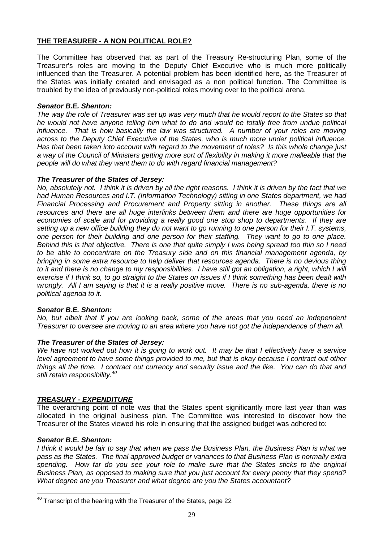#### **THE TREASURER - A NON POLITICAL ROLE?**

The Committee has observed that as part of the Treasury Re-structuring Plan, some of the Treasurer's roles are moving to the Deputy Chief Executive who is much more politically influenced than the Treasurer. A potential problem has been identified here, as the Treasurer of the States was initially created and envisaged as a non political function. The Committee is troubled by the idea of previously non-political roles moving over to the political arena.

#### **Senator B.E. Shenton:**

The way the role of Treasurer was set up was very much that he would report to the States so that he would not have anyone telling him what to do and would be totally free from undue political influence. That is how basically the law was structured. A number of your roles are moving across to the Deputy Chief Executive of the States, who is much more under political influence. Has that been taken into account with regard to the movement of roles? Is this whole change just a way of the Council of Ministers getting more sort of flexibility in making it more malleable that the people will do what they want them to do with regard financial management?

#### **The Treasurer of the States of Jersey:**

No, absolutely not. I think it is driven by all the right reasons. I think it is driven by the fact that we had Human Resources and I.T. (Information Technology) sitting in one States department, we had Financial Processing and Procurement and Property sitting in another. These things are all resources and there are all huge interlinks between them and there are huge opportunities for economies of scale and for providing a really good one stop shop to departments. If they are setting up a new office building they do not want to go running to one person for their I.T. systems, one person for their building and one person for their staffing. They want to go to one place. Behind this is that objective. There is one that quite simply I was being spread too thin so I need to be able to concentrate on the Treasury side and on this financial management agenda, by bringing in some extra resource to help deliver that resources agenda. There is no devious thing to it and there is no change to my responsibilities. I have still got an obligation, a right, which I will exercise if I think so, to go straight to the States on issues if I think something has been dealt with wrongly. All I am saying is that it is a really positive move. There is no sub-agenda, there is no political agenda to it.

#### **Senator B.E. Shenton:**

No, but albeit that if you are looking back, some of the areas that you need an independent Treasurer to oversee are moving to an area where you have not got the independence of them all.

#### **The Treasurer of the States of Jersey:**

We have not worked out how it is going to work out. It may be that I effectively have a service level agreement to have some things provided to me, but that is okay because I contract out other things all the time. I contract out currency and security issue and the like. You can do that and still retain responsibility.<sup>40</sup>

#### **TREASURY - EXPENDITURE**

The overarching point of note was that the States spent significantly more last year than was allocated in the original business plan. The Committee was interested to discover how the Treasurer of the States viewed his role in ensuring that the assigned budget was adhered to:

#### **Senator B.E. Shenton:**

 $\overline{\phantom{a}}$ 

I think it would be fair to say that when we pass the Business Plan, the Business Plan is what we pass as the States. The final approved budget or variances to that Business Plan is normally extra spending. How far do you see your role to make sure that the States sticks to the original Business Plan, as opposed to making sure that you just account for every penny that they spend? What degree are you Treasurer and what degree are you the States accountant?

 $40$  Transcript of the hearing with the Treasurer of the States, page 22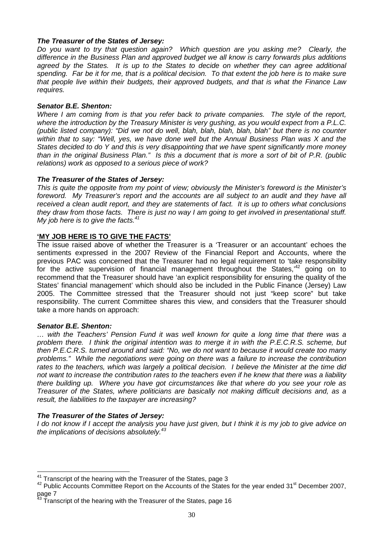#### **The Treasurer of the States of Jersey:**

Do you want to try that question again? Which question are you asking me? Clearly, the difference in the Business Plan and approved budget we all know is carry forwards plus additions agreed by the States. It is up to the States to decide on whether they can agree additional spending. Far be it for me, that is a political decision. To that extent the job here is to make sure that people live within their budgets, their approved budgets, and that is what the Finance Law requires.

#### **Senator B.E. Shenton:**

Where I am coming from is that you refer back to private companies. The style of the report, where the introduction by the Treasury Minister is very gushing, as you would expect from a P.L.C. (public listed company): "Did we not do well, blah, blah, blah, blah, blah" but there is no counter within that to say: "Well, yes, we have done well but the Annual Business Plan was X and the States decided to do Y and this is very disappointing that we have spent significantly more money than in the original Business Plan." Is this a document that is more a sort of bit of P.R. (public relations) work as opposed to a serious piece of work?

#### **The Treasurer of the States of Jersey:**

This is quite the opposite from my point of view; obviously the Minister's foreword is the Minister's foreword. My Treasurer's report and the accounts are all subject to an audit and they have all received a clean audit report, and they are statements of fact. It is up to others what conclusions they draw from those facts. There is just no way I am going to get involved in presentational stuff. My job here is to give the facts. $41$ 

#### **'MY JOB HERE IS TO GIVE THE FACTS'**

The issue raised above of whether the Treasurer is a 'Treasurer or an accountant' echoes the sentiments expressed in the 2007 Review of the Financial Report and Accounts, where the previous PAC was concerned that the Treasurer had no legal requirement to 'take responsibility for the active supervision of financial management throughout the States,<sup> $42$ </sup> going on to recommend that the Treasurer should have 'an explicit responsibility for ensuring the quality of the States' financial management' which should also be included in the Public Finance (Jersey) Law 2005. The Committee stressed that the Treasurer should not just "keep score" but take responsibility. The current Committee shares this view, and considers that the Treasurer should take a more hands on approach:

#### **Senator B.E. Shenton:**

… with the Teachers' Pension Fund it was well known for quite a long time that there was a problem there. I think the original intention was to merge it in with the P.E.C.R.S. scheme, but then P.E.C.R.S. turned around and said: "No, we do not want to because it would create too many problems." While the negotiations were going on there was a failure to increase the contribution rates to the teachers, which was largely a political decision. I believe the Minister at the time did not want to increase the contribution rates to the teachers even if he knew that there was a liability there building up. Where you have got circumstances like that where do you see your role as Treasurer of the States, where politicians are basically not making difficult decisions and, as a result, the liabilities to the taxpayer are increasing?

#### **The Treasurer of the States of Jersey:**

I do not know if I accept the analysis you have just given, but I think it is my job to give advice on the implications of decisions absolutely. $43$ 

 $\overline{\phantom{a}}$  $41$  Transcript of the hearing with the Treasurer of the States, page 3

<sup>&</sup>lt;sup>42</sup> Public Accounts Committee Report on the Accounts of the States for the year ended 31<sup>st</sup> December 2007, page 7

<sup>43</sup> Transcript of the hearing with the Treasurer of the States, page 16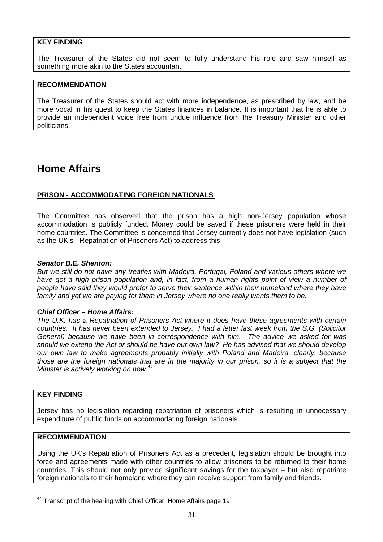#### **KEY FINDING**

The Treasurer of the States did not seem to fully understand his role and saw himself as something more akin to the States accountant.

#### **RECOMMENDATION**

The Treasurer of the States should act with more independence, as prescribed by law, and be more vocal in his quest to keep the States finances in balance. It is important that he is able to provide an independent voice free from undue influence from the Treasury Minister and other politicians.

## **Home Affairs**

#### **PRISON - ACCOMMODATING FOREIGN NATIONALS**

The Committee has observed that the prison has a high non-Jersey population whose accommodation is publicly funded. Money could be saved if these prisoners were held in their home countries. The Committee is concerned that Jersey currently does not have legislation (such as the UK's - Repatriation of Prisoners Act) to address this.

#### **Senator B.E. Shenton:**

But we still do not have any treaties with Madeira, Portugal, Poland and various others where we have got a high prison population and, in fact, from a human rights point of view a number of people have said they would prefer to serve their sentence within their homeland where they have family and yet we are paying for them in Jersey where no one really wants them to be.

#### **Chief Officer – Home Affairs:**

The U.K. has a Repatriation of Prisoners Act where it does have these agreements with certain countries. It has never been extended to Jersey. I had a letter last week from the S.G. (Solicitor General) because we have been in correspondence with him. The advice we asked for was should we extend the Act or should be have our own law? He has advised that we should develop our own law to make agreements probably initially with Poland and Madeira, clearly, because those are the foreign nationals that are in the majority in our prison, so it is a subject that the Minister is actively working on now.<sup>44</sup>

#### **KEY FINDING**

 $\overline{\phantom{a}}$ 

Jersey has no legislation regarding repatriation of prisoners which is resulting in unnecessary expenditure of public funds on accommodating foreign nationals.

#### **RECOMMENDATION**

Using the UK's Repatriation of Prisoners Act as a precedent, legislation should be brought into force and agreements made with other countries to allow prisoners to be returned to their home countries. This should not only provide significant savings for the taxpayer – but also repatriate foreign nationals to their homeland where they can receive support from family and friends.

<sup>&</sup>lt;sup>44</sup> Transcript of the hearing with Chief Officer, Home Affairs page 19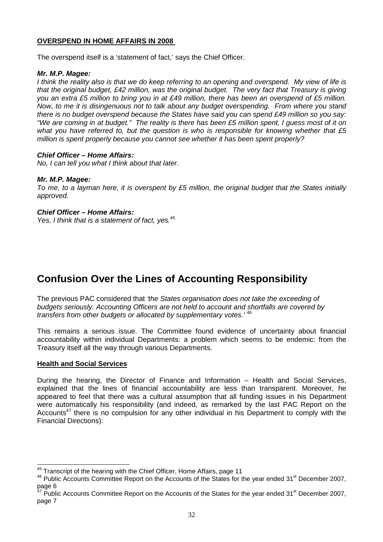#### **OVERSPEND IN HOME AFFAIRS IN 2008**

The overspend itself is a 'statement of fact,' says the Chief Officer.

#### **Mr. M.P. Magee:**

I think the reality also is that we do keep referring to an opening and overspend. My view of life is that the original budget, £42 million, was the original budget. The very fact that Treasury is giving you an extra £5 million to bring you in at £49 million, there has been an overspend of £5 million. Now, to me it is disingenuous not to talk about any budget overspending. From where you stand there is no budget overspend because the States have said you can spend £49 million so you say: "We are coming in at budget." The reality is there has been £5 million spent, I guess most of it on what you have referred to, but the question is who is responsible for knowing whether that  $£5$ million is spent properly because you cannot see whether it has been spent properly?

#### **Chief Officer – Home Affairs:**

No, I can tell you what I think about that later.

#### **Mr. M.P. Magee:**

To me, to a layman here, it is overspent by £5 million, the original budget that the States initially approved.

#### **Chief Officer – Home Affairs:**

Yes, I think that is a statement of fact, yes.<sup>45</sup>

## **Confusion Over the Lines of Accounting Responsibility**

The previous PAC considered that 'the States organisation does not take the exceeding of budgets seriously. Accounting Officers are not held to account and shortfalls are covered by transfers from other budgets or allocated by supplementary votes.<sup>'46</sup>

This remains a serious issue. The Committee found evidence of uncertainty about financial accountability within individual Departments: a problem which seems to be endemic: from the Treasury itself all the way through various Departments.

#### **Health and Social Services**

 $\overline{1}$ 

During the hearing, the Director of Finance and Information – Health and Social Services, explained that the lines of financial accountability are less than transparent. Moreover, he appeared to feel that there was a cultural assumption that all funding issues in his Department were automatically his responsibility (and indeed, as remarked by the last PAC Report on the Accounts<sup>47</sup> there is no compulsion for any other individual in his Department to comply with the Financial Directions):

 $45$  Transcript of the hearing with the Chief Officer, Home Affairs, page 11

 $46$  Public Accounts Committee Report on the Accounts of the States for the year ended 31 $^{\rm st}$  December 2007, page 6

 $^7$  Public Accounts Committee Report on the Accounts of the States for the year ended 31<sup>st</sup> December 2007, page 7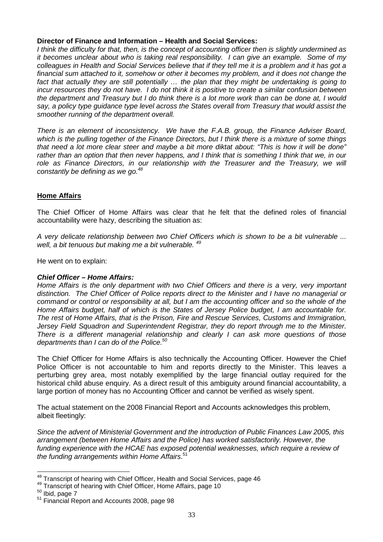#### **Director of Finance and Information – Health and Social Services:**

I think the difficulty for that, then, is the concept of accounting officer then is slightly undermined as it becomes unclear about who is taking real responsibility. I can give an example. Some of my colleagues in Health and Social Services believe that if they tell me it is a problem and it has got a financial sum attached to it, somehow or other it becomes my problem, and it does not change the fact that actually they are still potentially ... the plan that they might be undertaking is going to incur resources they do not have. I do not think it is positive to create a similar confusion between the department and Treasury but I do think there is a lot more work than can be done at, I would say, a policy type guidance type level across the States overall from Treasury that would assist the smoother running of the department overall.

There is an element of inconsistency. We have the F.A.B. group, the Finance Adviser Board, which is the pulling together of the Finance Directors, but I think there is a mixture of some things that need a lot more clear steer and maybe a bit more diktat about: "This is how it will be done" rather than an option that then never happens, and I think that is something I think that we, in our role as Finance Directors, in our relationship with the Treasurer and the Treasury, we will constantly be defining as we go. $48$ 

#### **Home Affairs**

The Chief Officer of Home Affairs was clear that he felt that the defined roles of financial accountability were hazy, describing the situation as:

A very delicate relationship between two Chief Officers which is shown to be a bit vulnerable ... well, a bit tenuous but making me a bit vulnerable. <sup>49</sup>

He went on to explain:

#### **Chief Officer – Home Affairs:**

Home Affairs is the only department with two Chief Officers and there is a very, very important distinction. The Chief Officer of Police reports direct to the Minister and I have no managerial or command or control or responsibility at all, but I am the accounting officer and so the whole of the Home Affairs budget, half of which is the States of Jersey Police budget, I am accountable for. The rest of Home Affairs, that is the Prison, Fire and Rescue Services, Customs and Immigration, Jersey Field Squadron and Superintendent Registrar, they do report through me to the Minister. There is a different managerial relationship and clearly I can ask more questions of those departments than I can do of the Police. $50$ 

The Chief Officer for Home Affairs is also technically the Accounting Officer. However the Chief Police Officer is not accountable to him and reports directly to the Minister. This leaves a perturbing grey area, most notably exemplified by the large financial outlay required for the historical child abuse enquiry. As a direct result of this ambiguity around financial accountability, a large portion of money has no Accounting Officer and cannot be verified as wisely spent.

The actual statement on the 2008 Financial Report and Accounts acknowledges this problem, albeit fleetingly:

Since the advent of Ministerial Government and the introduction of Public Finances Law 2005, this arrangement (between Home Affairs and the Police) has worked satisfactorily. However, the funding experience with the HCAE has exposed potential weaknesses, which require a review of the funding arrangements within Home Affairs.<sup>51</sup>

 $\overline{\phantom{a}}$ 

 $48$  Transcript of hearing with Chief Officer, Health and Social Services, page 46

<sup>&</sup>lt;sup>49</sup> Transcript of hearing with Chief Officer, Home Affairs, page 10

 $50$  Ibid, page  $7$ 

<sup>51</sup> Financial Report and Accounts 2008, page 98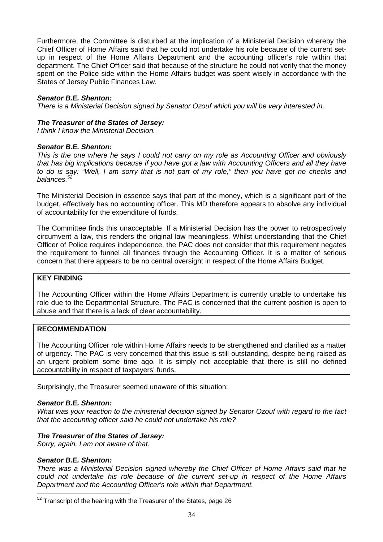Furthermore, the Committee is disturbed at the implication of a Ministerial Decision whereby the Chief Officer of Home Affairs said that he could not undertake his role because of the current setup in respect of the Home Affairs Department and the accounting officer's role within that department. The Chief Officer said that because of the structure he could not verify that the money spent on the Police side within the Home Affairs budget was spent wisely in accordance with the States of Jersey Public Finances Law.

#### **Senator B.E. Shenton:**

There is a Ministerial Decision signed by Senator Ozouf which you will be very interested in.

#### **The Treasurer of the States of Jersey:**

I think I know the Ministerial Decision.

#### **Senator B.E. Shenton:**

This is the one where he says I could not carry on my role as Accounting Officer and obviously that has big implications because if you have got a law with Accounting Officers and all they have to do is say: "Well, I am sorry that is not part of my role," then you have got no checks and balances.<sup>52</sup>

The Ministerial Decision in essence says that part of the money, which is a significant part of the budget, effectively has no accounting officer. This MD therefore appears to absolve any individual of accountability for the expenditure of funds.

The Committee finds this unacceptable. If a Ministerial Decision has the power to retrospectively circumvent a law, this renders the original law meaningless. Whilst understanding that the Chief Officer of Police requires independence, the PAC does not consider that this requirement negates the requirement to funnel all finances through the Accounting Officer. It is a matter of serious concern that there appears to be no central oversight in respect of the Home Affairs Budget.

#### **KEY FINDING**

The Accounting Officer within the Home Affairs Department is currently unable to undertake his role due to the Departmental Structure. The PAC is concerned that the current position is open to abuse and that there is a lack of clear accountability.

#### **RECOMMENDATION**

The Accounting Officer role within Home Affairs needs to be strengthened and clarified as a matter of urgency. The PAC is very concerned that this issue is still outstanding, despite being raised as an urgent problem some time ago. It is simply not acceptable that there is still no defined accountability in respect of taxpayers' funds.

Surprisingly, the Treasurer seemed unaware of this situation:

#### **Senator B.E. Shenton:**

What was your reaction to the ministerial decision signed by Senator Ozouf with regard to the fact that the accounting officer said he could not undertake his role?

#### **The Treasurer of the States of Jersey:**

Sorry, again, I am not aware of that.

#### **Senator B.E. Shenton:**

 $\overline{a}$ 

There was a Ministerial Decision signed whereby the Chief Officer of Home Affairs said that he could not undertake his role because of the current set-up in respect of the Home Affairs Department and the Accounting Officer's role within that Department.

 $52$  Transcript of the hearing with the Treasurer of the States, page 26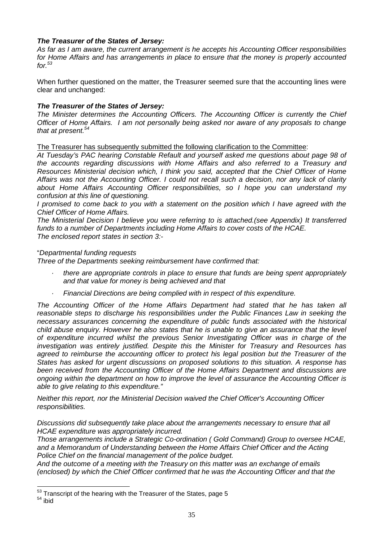#### **The Treasurer of the States of Jersey:**

As far as I am aware, the current arrangement is he accepts his Accounting Officer responsibilities for Home Affairs and has arrangements in place to ensure that the money is properly accounted  $for 53$ 

When further questioned on the matter, the Treasurer seemed sure that the accounting lines were clear and unchanged:

#### **The Treasurer of the States of Jersey:**

The Minister determines the Accounting Officers. The Accounting Officer is currently the Chief Officer of Home Affairs. I am not personally being asked nor aware of any proposals to change that at present. $54$ 

The Treasurer has subsequently submitted the following clarification to the Committee:

At Tuesday's PAC hearing Constable Refault and yourself asked me questions about page 98 of the accounts regarding discussions with Home Affairs and also referred to a Treasury and Resources Ministerial decision which, I think you said, accepted that the Chief Officer of Home Affairs was not the Accounting Officer. I could not recall such a decision, nor any lack of clarity about Home Affairs Accounting Officer responsibilities, so I hope you can understand my confusion at this line of questioning.

I promised to come back to you with a statement on the position which I have agreed with the Chief Officer of Home Affairs.

The Ministerial Decision I believe you were referring to is attached.(see Appendix) It transferred funds to a number of Departments including Home Affairs to cover costs of the HCAE. The enclosed report states in section 3:-

"Departmental funding requests

Three of the Departments seeking reimbursement have confirmed that:

- there are appropriate controls in place to ensure that funds are being spent appropriately and that value for money is being achieved and that
- · Financial Directions are being complied with in respect of this expenditure.

The Accounting Officer of the Home Affairs Department had stated that he has taken all reasonable steps to discharge his responsibilities under the Public Finances Law in seeking the necessary assurances concerning the expenditure of public funds associated with the historical child abuse enquiry. However he also states that he is unable to give an assurance that the level of expenditure incurred whilst the previous Senior Investigating Officer was in charge of the investigation was entirely justified. Despite this the Minister for Treasury and Resources has agreed to reimburse the accounting officer to protect his legal position but the Treasurer of the States has asked for urgent discussions on proposed solutions to this situation. A response has been received from the Accounting Officer of the Home Affairs Department and discussions are ongoing within the department on how to improve the level of assurance the Accounting Officer is able to give relating to this expenditure."

Neither this report, nor the Ministerial Decision waived the Chief Officer's Accounting Officer responsibilities.

Discussions did subsequently take place about the arrangements necessary to ensure that all HCAE expenditure was appropriately incurred.

Those arrangements include a Strategic Co-ordination ( Gold Command) Group to oversee HCAE, and a Memorandum of Understanding between the Home Affairs Chief Officer and the Acting Police Chief on the financial management of the police budget.

And the outcome of a meeting with the Treasury on this matter was an exchange of emails (enclosed) by which the Chief Officer confirmed that he was the Accounting Officer and that the

 $\overline{a}$ 

 $53$  Transcript of the hearing with the Treasurer of the States, page 5

 $54$  ibid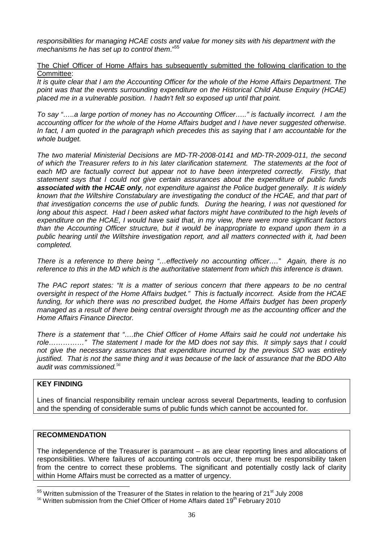responsibilities for managing HCAE costs and value for money sits with his department with the mechanisms he has set up to control them."<sup>55</sup>

The Chief Officer of Home Affairs has subsequently submitted the following clarification to the Committee:

It is quite clear that I am the Accounting Officer for the whole of the Home Affairs Department. The point was that the events surrounding expenditure on the Historical Child Abuse Enquiry (HCAE) placed me in a vulnerable position. I hadn't felt so exposed up until that point.

To say "…..a large portion of money has no Accounting Officer….." is factually incorrect. I am the accounting officer for the whole of the Home Affairs budget and I have never suggested otherwise. In fact, I am quoted in the paragraph which precedes this as saying that I am accountable for the whole budget.

The two material Ministerial Decisions are MD-TR-2008-0141 and MD-TR-2009-011, the second of which the Treasurer refers to in his later clarification statement. The statements at the foot of each MD are factually correct but appear not to have been interpreted correctly. Firstly, that statement says that I could not give certain assurances about the expenditure of public funds **associated with the HCAE only**, not expenditure against the Police budget generally. It is widely known that the Wiltshire Constabulary are investigating the conduct of the HCAE, and that part of that investigation concerns the use of public funds. During the hearing, I was not questioned for long about this aspect. Had I been asked what factors might have contributed to the high levels of expenditure on the HCAE, I would have said that, in my view, there were more significant factors than the Accounting Officer structure, but it would be inappropriate to expand upon them in a public hearing until the Wiltshire investigation report, and all matters connected with it, had been completed.

There is a reference to there being "…effectively no accounting officer…." Again, there is no reference to this in the MD which is the authoritative statement from which this inference is drawn.

The PAC report states: "It is a matter of serious concern that there appears to be no central oversight in respect of the Home Affairs budget." This is factually incorrect. Aside from the HCAE funding, for which there was no prescribed budget, the Home Affairs budget has been properly managed as a result of there being central oversight through me as the accounting officer and the Home Affairs Finance Director.

There is a statement that "….the Chief Officer of Home Affairs said he could not undertake his role……………" The statement I made for the MD does not say this. It simply says that I could not give the necessary assurances that expenditure incurred by the previous SIO was entirely justified. That is not the same thing and it was because of the lack of assurance that the BDO Alto audit was commissioned.*<sup>56</sup>*

#### **KEY FINDING**

 $\overline{a}$ 

Lines of financial responsibility remain unclear across several Departments, leading to confusion and the spending of considerable sums of public funds which cannot be accounted for.

#### **RECOMMENDATION**

The independence of the Treasurer is paramount – as are clear reporting lines and allocations of responsibilities. Where failures of accounting controls occur, there must be responsibility taken from the centre to correct these problems. The significant and potentially costly lack of clarity within Home Affairs must be corrected as a matter of urgency.

 $55$  Written submission of the Treasurer of the States in relation to the hearing of 21<sup>st</sup> July 2008

 $56$  Written submission from the Chief Officer of Home Affairs dated 19<sup>th</sup> February 2010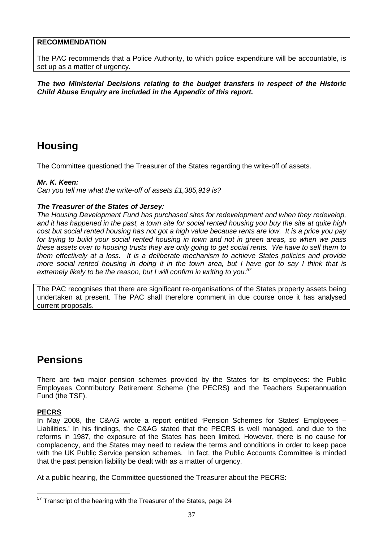#### **RECOMMENDATION**

The PAC recommends that a Police Authority, to which police expenditure will be accountable, is set up as a matter of urgency.

**The two Ministerial Decisions relating to the budget transfers in respect of the Historic Child Abuse Enquiry are included in the Appendix of this report.** 

## **Housing**

The Committee questioned the Treasurer of the States regarding the write-off of assets.

#### **Mr. K. Keen:**

Can you tell me what the write-off of assets £1,385,919 is?

#### **The Treasurer of the States of Jersey:**

The Housing Development Fund has purchased sites for redevelopment and when they redevelop, and it has happened in the past, a town site for social rented housing you buy the site at quite high cost but social rented housing has not got a high value because rents are low. It is a price you pay for trying to build your social rented housing in town and not in green areas, so when we pass these assets over to housing trusts they are only going to get social rents. We have to sell them to them effectively at a loss. It is a deliberate mechanism to achieve States policies and provide more social rented housing in doing it in the town area, but I have got to say I think that is extremely likely to be the reason, but I will confirm in writing to you. $57$ 

The PAC recognises that there are significant re-organisations of the States property assets being undertaken at present. The PAC shall therefore comment in due course once it has analysed current proposals.

## **Pensions**

There are two major pension schemes provided by the States for its employees: the Public Employees Contributory Retirement Scheme (the PECRS) and the Teachers Superannuation Fund (the TSF).

#### **PECRS**

In May 2008, the C&AG wrote a report entitled 'Pension Schemes for States' Employees – Liabilities.' In his findings, the C&AG stated that the PECRS is well managed, and due to the reforms in 1987, the exposure of the States has been limited. However, there is no cause for complacency, and the States may need to review the terms and conditions in order to keep pace with the UK Public Service pension schemes. In fact, the Public Accounts Committee is minded that the past pension liability be dealt with as a matter of urgency.

At a public hearing, the Committee questioned the Treasurer about the PECRS:

 $\overline{a}$  $57$  Transcript of the hearing with the Treasurer of the States, page 24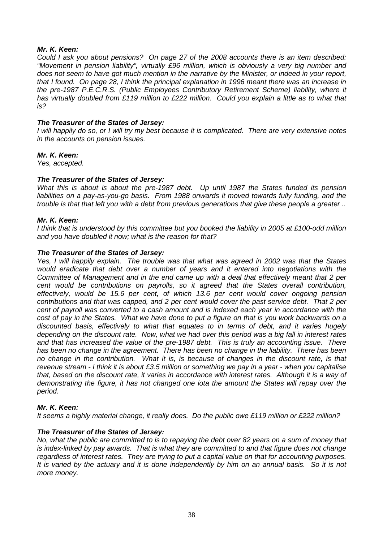#### **Mr. K. Keen:**

Could I ask you about pensions? On page 27 of the 2008 accounts there is an item described: "Movement in pension liability", virtually £96 million, which is obviously a very big number and does not seem to have got much mention in the narrative by the Minister, or indeed in your report, that I found. On page 28, I think the principal explanation in 1996 meant there was an increase in the pre-1987 P.E.C.R.S. (Public Employees Contributory Retirement Scheme) liability, where it has virtually doubled from £119 million to £222 million. Could you explain a little as to what that is?

#### **The Treasurer of the States of Jersey:**

I will happily do so, or I will try my best because it is complicated. There are very extensive notes in the accounts on pension issues.

#### **Mr. K. Keen:**

Yes, accepted.

#### **The Treasurer of the States of Jersey:**

What this is about is about the pre-1987 debt. Up until 1987 the States funded its pension liabilities on a pay-as-you-go basis. From 1988 onwards it moved towards fully funding, and the trouble is that that left you with a debt from previous generations that give these people a greater ..

#### **Mr. K. Keen:**

I think that is understood by this committee but you booked the liability in 2005 at £100-odd million and you have doubled it now; what is the reason for that?

#### **The Treasurer of the States of Jersey:**

Yes, I will happily explain. The trouble was that what was agreed in 2002 was that the States would eradicate that debt over a number of years and it entered into negotiations with the Committee of Management and in the end came up with a deal that effectively meant that 2 per cent would be contributions on payrolls, so it agreed that the States overall contribution, effectively, would be 15.6 per cent, of which 13.6 per cent would cover ongoing pension contributions and that was capped, and 2 per cent would cover the past service debt. That 2 per cent of payroll was converted to a cash amount and is indexed each year in accordance with the cost of pay in the States. What we have done to put a figure on that is you work backwards on a discounted basis, effectively to what that equates to in terms of debt, and it varies hugely depending on the discount rate. Now, what we had over this period was a big fall in interest rates and that has increased the value of the pre-1987 debt. This is truly an accounting issue. There has been no change in the agreement. There has been no change in the liability. There has been no change in the contribution. What it is, is because of changes in the discount rate, is that revenue stream - I think it is about £3.5 million or something we pay in a year - when you capitalise that, based on the discount rate, it varies in accordance with interest rates. Although it is a way of demonstrating the figure, it has not changed one iota the amount the States will repay over the period.

#### **Mr. K. Keen:**

It seems a highly material change, it really does. Do the public owe £119 million or £222 million?

#### **The Treasurer of the States of Jersey:**

No, what the public are committed to is to repaying the debt over 82 years on a sum of money that is index-linked by pay awards. That is what they are committed to and that figure does not change regardless of interest rates. They are trying to put a capital value on that for accounting purposes. It is varied by the actuary and it is done independently by him on an annual basis. So it is not more money.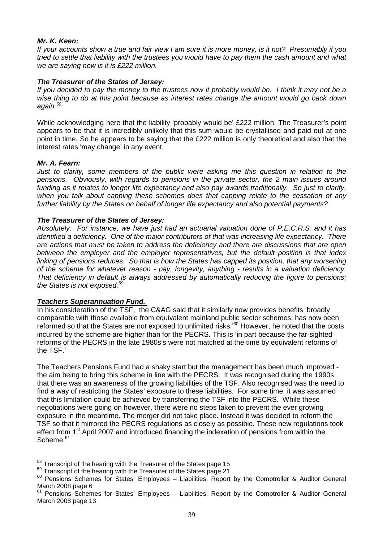#### **Mr. K. Keen:**

If your accounts show a true and fair view I am sure it is more money, is it not? Presumably if you tried to settle that liability with the trustees you would have to pay them the cash amount and what we are saying now is it is £222 million.

#### **The Treasurer of the States of Jersey:**

If you decided to pay the money to the trustees now it probably would be. I think it may not be a wise thing to do at this point because as interest rates change the amount would go back down again.<sup>58</sup>

While acknowledging here that the liability 'probably would be' £222 million, The Treasurer's point appears to be that it is incredibly unlikely that this sum would be crystallised and paid out at one point in time. So he appears to be saying that the £222 million is only theoretical and also that the interest rates 'may change' in any event.

#### **Mr. A. Fearn:**

Just to clarify, some members of the public were asking me this question in relation to the pensions. Obviously, with regards to pensions in the private sector, the 2 main issues around funding as it relates to longer life expectancy and also pay awards traditionally. So just to clarify, when you talk about capping these schemes does that capping relate to the cessation of any further liability by the States on behalf of longer life expectancy and also potential payments?

#### **The Treasurer of the States of Jersey:**

Absolutely. For instance, we have just had an actuarial valuation done of P.E.C.R.S. and it has identified a deficiency. One of the major contributors of that was increasing life expectancy. There are actions that must be taken to address the deficiency and there are discussions that are open between the employer and the employer representatives, but the default position is that index linking of pensions reduces. So that is how the States has capped its position, that any worsening of the scheme for whatever reason - pay, longevity, anything - results in a valuation deficiency. That deficiency in default is always addressed by automatically reducing the figure to pensions; the States is not exposed.<sup>59</sup>

#### **Teachers Superannuation Fund.**

In his consideration of the TSF, the C&AG said that it similarly now provides benefits 'broadly comparable with those available from equivalent mainland public sector schemes; has now been reformed so that the States are not exposed to unlimited risks.<sup>60</sup> However, he noted that the costs incurred by the scheme are higher than for the PECRS. This is 'in part because the far-sighted reforms of the PECRS in the late 1980s's were not matched at the time by equivalent reforms of the TSF.'

The Teachers Pensions Fund had a shaky start but the management has been much improved the aim being to bring this scheme in line with the PECRS. It was recognised during the 1990s that there was an awareness of the growing liabilities of the TSF. Also recognised was the need to find a way of restricting the States' exposure to these liabilities. For some time, it was assumed that this limitation could be achieved by transferring the TSF into the PECRS. While these negotiations were going on however, there were no steps taken to prevent the ever growing exposure in the meantime. The merger did not take place. Instead it was decided to reform the TSF so that it mirrored the PECRS regulations as closely as possible. These new regulations took effect from 1<sup>st</sup> April 2007 and introduced financing the indexation of pensions from within the Scheme.<sup>61</sup>

l  $58$  Transcript of the hearing with the Treasurer of the States page 15

<sup>&</sup>lt;sup>59</sup> Transcript of the hearing with the Treasurer of the States page 21

 $60$  Pensions Schemes for States' Employees - Liabilities. Report by the Comptroller & Auditor General March 2008 page 6

 $61$  Pensions Schemes for States' Employees – Liabilities. Report by the Comptroller & Auditor General March 2008 page 13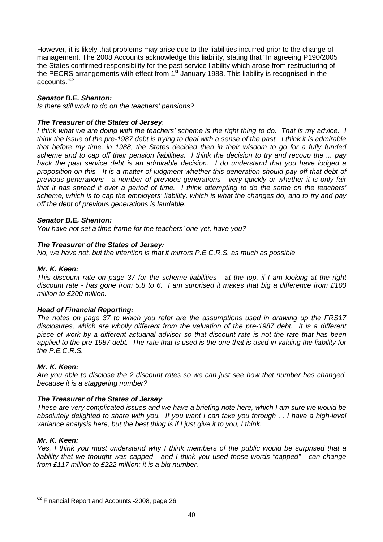However, it is likely that problems may arise due to the liabilities incurred prior to the change of management. The 2008 Accounts acknowledge this liability, stating that "In agreeing P190/2005 the States confirmed responsibility for the past service liability which arose from restructuring of the PECRS arrangements with effect from  $1<sup>st</sup>$  January 1988. This liability is recognised in the accounts."<sup>62</sup>

#### **Senator B.E. Shenton:**

Is there still work to do on the teachers' pensions?

#### **The Treasurer of the States of Jersey**:

I think what we are doing with the teachers' scheme is the right thing to do. That is my advice. I think the issue of the pre-1987 debt is trying to deal with a sense of the past. I think it is admirable that before my time, in 1988, the States decided then in their wisdom to go for a fully funded scheme and to cap off their pension liabilities. I think the decision to try and recoup the ... pay back the past service debt is an admirable decision. I do understand that you have lodged a proposition on this. It is a matter of judgment whether this generation should pay off that debt of previous generations - a number of previous generations - very quickly or whether it is only fair that it has spread it over a period of time. I think attempting to do the same on the teachers' scheme, which is to cap the employers' liability, which is what the changes do, and to try and pay off the debt of previous generations is laudable.

#### **Senator B.E. Shenton:**

You have not set a time frame for the teachers' one yet, have you?

#### **The Treasurer of the States of Jersey:**

No, we have not, but the intention is that it mirrors P.E.C.R.S. as much as possible.

#### **Mr. K. Keen:**

This discount rate on page 37 for the scheme liabilities - at the top, if I am looking at the right discount rate - has gone from 5.8 to 6. I am surprised it makes that big a difference from £100 million to £200 million.

#### **Head of Financial Reporting:**

The notes on page 37 to which you refer are the assumptions used in drawing up the FRS17 disclosures, which are wholly different from the valuation of the pre-1987 debt. It is a different piece of work by a different actuarial advisor so that discount rate is not the rate that has been applied to the pre-1987 debt. The rate that is used is the one that is used in valuing the liability for the P.E.C.R.S.

#### **Mr. K. Keen:**

Are you able to disclose the 2 discount rates so we can just see how that number has changed, because it is a staggering number?

#### **The Treasurer of the States of Jersey**:

These are very complicated issues and we have a briefing note here, which I am sure we would be absolutely delighted to share with you. If you want I can take you through ... I have a high-level variance analysis here, but the best thing is if I just give it to you, I think.

#### **Mr. K. Keen:**

 $\overline{\phantom{a}}$ 

Yes, I think you must understand why I think members of the public would be surprised that a liability that we thought was capped - and I think you used those words "capped" - can change from £117 million to £222 million; it is a big number.

 $62$  Financial Report and Accounts -2008, page 26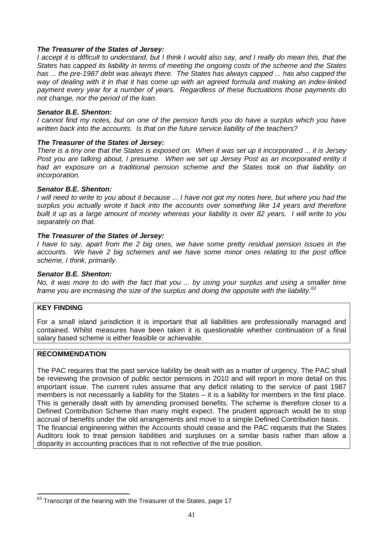#### **The Treasurer of the States of Jersey:**

I accept it is difficult to understand, but I think I would also say, and I really do mean this, that the States has capped its liability in terms of meeting the ongoing costs of the scheme and the States has ... the pre-1987 debt was always there. The States has always capped ... has also capped the way of dealing with it in that it has come up with an agreed formula and making an index-linked payment every vear for a number of vears. Regardless of these fluctuations those payments do not change, nor the period of the loan.

#### **Senator B.E. Shenton:**

I cannot find my notes, but on one of the pension funds you do have a surplus which you have written back into the accounts. Is that on the future service liability of the teachers?

#### **The Treasurer of the States of Jersey:**

There is a tiny one that the States is exposed on. When it was set up it incorporated ... it is Jersey Post you are talking about, I presume. When we set up Jersey Post as an incorporated entity it had an exposure on a traditional pension scheme and the States took on that liability on incorporation.

#### **Senator B.E. Shenton:**

I will need to write to you about it because ... I have not got my notes here, but where you had the surplus you actually wrote it back into the accounts over something like 14 years and therefore built it up as a large amount of money whereas your liability is over 82 years. I will write to you separately on that.

#### **The Treasurer of the States of Jersey:**

I have to say, apart from the 2 big ones, we have some pretty residual pension issues in the accounts. We have 2 big schemes and we have some minor ones relating to the post office scheme, I think, primarily.

#### **Senator B.E. Shenton:**

No, it was more to do with the fact that you ... by using your surplus and using a smaller time frame you are increasing the size of the surplus and doing the opposite with the liability.<sup>63</sup>

#### **KEY FINDING**

For a small island jurisdiction it is important that all liabilities are professionally managed and contained. Whilst measures have been taken it is questionable whether continuation of a final salary based scheme is either feasible or achievable.

#### **RECOMMENDATION**

The PAC requires that the past service liability be dealt with as a matter of urgency. The PAC shall be reviewing the provision of public sector pensions in 2010 and will report in more detail on this important issue. The current rules assume that any deficit relating to the service of past 1987 members is not necessarily a liability for the States – it is a liability for members in the first place. This is generally dealt with by amending promised benefits. The scheme is therefore closer to a Defined Contribution Scheme than many might expect. The prudent approach would be to stop accrual of benefits under the old arrangements and move to a simple Defined Contribution basis. The financial engineering within the Accounts should cease and the PAC requests that the States Auditors look to treat pension liabilities and surpluses on a similar basis rather than allow a disparity in accounting practices that is not reflective of the true position.

 $\overline{\phantom{a}}$  $^{63}$  Transcript of the hearing with the Treasurer of the States, page 17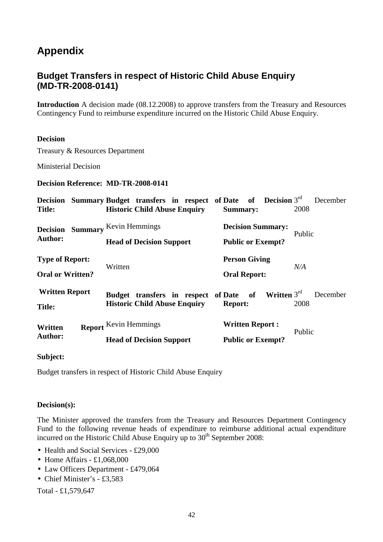## **Appendix**

## **Budget Transfers in respect of Historic Child Abuse Enquiry (MD-TR-2008-0141)**

**Introduction** A decision made (08.12.2008) to approve transfers from the Treasury and Resources Contingency Fund to reimburse expenditure incurred on the Historic Child Abuse Enquiry.

#### **Decision**

Treasury & Resources Department

Ministerial Decision

**Decision Reference: MD-TR-2008-0141**

| <b>Decision</b><br><b>Title:</b>                  |  |                              | <b>Summary Budget transfers in respect of Date of Decision</b> $3^{rd}$<br><b>Historic Child Abuse Enquiry</b> |  |                          |                      | Summary:               |                          | 2008   | December |
|---------------------------------------------------|--|------------------------------|----------------------------------------------------------------------------------------------------------------|--|--------------------------|----------------------|------------------------|--------------------------|--------|----------|
| <b>Summary</b><br><b>Decision</b>                 |  | Kevin Hemmings               |                                                                                                                |  | <b>Decision Summary:</b> |                      |                        | Public                   |        |          |
| Author:                                           |  |                              | <b>Head of Decision Support</b>                                                                                |  |                          |                      |                        | <b>Public or Exempt?</b> |        |          |
| <b>Type of Report:</b><br><b>Oral or Written?</b> |  | Written                      |                                                                                                                |  |                          | <b>Person Giving</b> |                        |                          | N/A    |          |
|                                                   |  |                              |                                                                                                                |  |                          | <b>Oral Report:</b>  |                        |                          |        |          |
| <b>Written Report</b><br><b>Title:</b>            |  |                              | Budget transfers in respect of Date of<br><b>Historic Child Abuse Enquiry</b>                                  |  |                          | <b>Report:</b>       |                        | Written $3rd$            | 2008   | December |
| Written<br><b>Author:</b>                         |  | <b>Report</b> Kevin Hemmings | <b>Head of Decision Support</b>                                                                                |  |                          |                      | <b>Written Report:</b> | <b>Public or Exempt?</b> | Public |          |

**Subject:** 

Budget transfers in respect of Historic Child Abuse Enquiry

#### **Decision(s):**

The Minister approved the transfers from the Treasury and Resources Department Contingency Fund to the following revenue heads of expenditure to reimburse additional actual expenditure incurred on the Historic Child Abuse Enquiry up to  $30<sup>th</sup>$  September 2008:

- Health and Social Services £29,000
- Home Affairs £1,068,000
- Law Officers Department £479,064
- Chief Minister's £3,583

Total - £1,579,647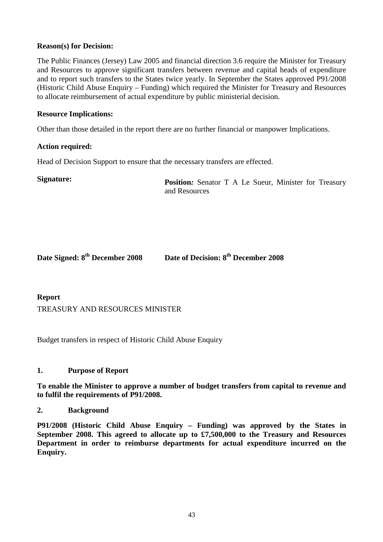#### **Reason(s) for Decision:**

The Public Finances (Jersey) Law 2005 and financial direction 3.6 require the Minister for Treasury and Resources to approve significant transfers between revenue and capital heads of expenditure and to report such transfers to the States twice yearly. In September the States approved P91/2008 (Historic Child Abuse Enquiry – Funding) which required the Minister for Treasury and Resources to allocate reimbursement of actual expenditure by public ministerial decision.

#### **Resource Implications:**

Other than those detailed in the report there are no further financial or manpower Implications.

#### **Action required:**

Head of Decision Support to ensure that the necessary transfers are effected.

**Signature: Position***:* Senator T A Le Sueur, Minister for Treasury and Resources

| Date Signed: 8 <sup>th</sup> December 2008 | Date of Decision: 8 <sup>th</sup> December 2008 |
|--------------------------------------------|-------------------------------------------------|
|                                            |                                                 |

**Report**

TREASURY AND RESOURCES MINISTER

Budget transfers in respect of Historic Child Abuse Enquiry

#### **1. Purpose of Report**

**To enable the Minister to approve a number of budget transfers from capital to revenue and to fulfil the requirements of P91/2008.**

#### **2. Background**

**P91/2008 (Historic Child Abuse Enquiry – Funding) was approved by the States in September 2008. This agreed to allocate up to £7,500,000 to the Treasury and Resources Department in order to reimburse departments for actual expenditure incurred on the Enquiry.**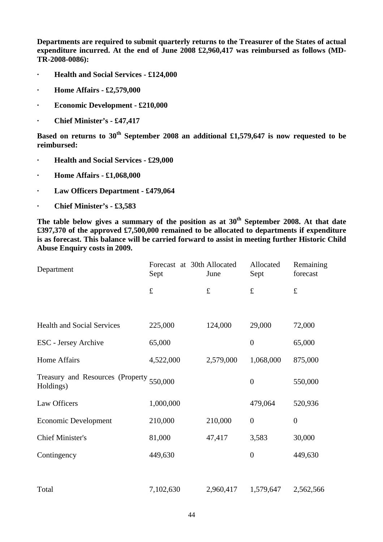**Departments are required to submit quarterly returns to the Treasurer of the States of actual expenditure incurred. At the end of June 2008 £2,960,417 was reimbursed as follows (MD-TR-2008-0086):** 

- **· Health and Social Services £124,000**
- **· Home Affairs £2,579,000**
- **· Economic Development £210,000**
- **· Chief Minister's £47,417**

**Based on returns to 30th September 2008 an additional £1,579,647 is now requested to be reimbursed:** 

- **· Health and Social Services £29,000**
- **· Home Affairs £1,068,000**
- **· Law Officers Department £479,064**
- **· Chief Minister's £3,583**

**The table below gives a summary of the position as at 30th September 2008. At that date £397,370 of the approved £7,500,000 remained to be allocated to departments if expenditure is as forecast. This balance will be carried forward to assist in meeting further Historic Child Abuse Enquiry costs in 2009.** 

| Department                                            | Forecast at 30th Allocated<br>Sept | June      | Allocated<br>Sept | Remaining<br>forecast |  |
|-------------------------------------------------------|------------------------------------|-----------|-------------------|-----------------------|--|
|                                                       | $\pounds$                          | $\pounds$ | $\pounds$         | $\pounds$             |  |
|                                                       |                                    |           |                   |                       |  |
| <b>Health and Social Services</b>                     | 225,000                            | 124,000   | 29,000            | 72,000                |  |
| ESC - Jersey Archive                                  | 65,000                             |           | $\overline{0}$    | 65,000                |  |
| Home Affairs                                          | 4,522,000                          | 2,579,000 | 1,068,000         | 875,000               |  |
| Treasury and Resources (Property 550,000<br>Holdings) |                                    |           | $\boldsymbol{0}$  | 550,000               |  |
| Law Officers                                          | 1,000,000                          |           | 479,064           | 520,936               |  |
| <b>Economic Development</b>                           | 210,000                            | 210,000   | $\theta$          | $\boldsymbol{0}$      |  |
| <b>Chief Minister's</b>                               | 81,000                             | 47,417    | 3,583             | 30,000                |  |
| Contingency                                           | 449,630                            |           | $\boldsymbol{0}$  | 449,630               |  |
|                                                       |                                    |           |                   |                       |  |
| Total                                                 | 7,102,630                          | 2,960,417 | 1,579,647         | 2,562,566             |  |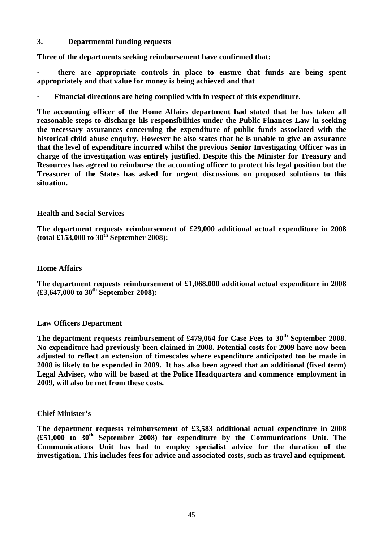#### **3. Departmental funding requests**

**Three of the departments seeking reimbursement have confirmed that:**

**· there are appropriate controls in place to ensure that funds are being spent appropriately and that value for money is being achieved and that** 

**· Financial directions are being complied with in respect of this expenditure.** 

**The accounting officer of the Home Affairs department had stated that he has taken all reasonable steps to discharge his responsibilities under the Public Finances Law in seeking the necessary assurances concerning the expenditure of public funds associated with the historical child abuse enquiry. However he also states that he is unable to give an assurance that the level of expenditure incurred whilst the previous Senior Investigating Officer was in charge of the investigation was entirely justified. Despite this the Minister for Treasury and Resources has agreed to reimburse the accounting officer to protect his legal position but the Treasurer of the States has asked for urgent discussions on proposed solutions to this situation.** 

#### **Health and Social Services**

**The department requests reimbursement of £29,000 additional actual expenditure in 2008 (total £153,000 to 30th September 2008):** 

#### **Home Affairs**

**The department requests reimbursement of £1,068,000 additional actual expenditure in 2008 (£3,647,000 to 30th September 2008):** 

#### **Law Officers Department**

**The department requests reimbursement of £479,064 for Case Fees to 30th September 2008. No expenditure had previously been claimed in 2008. Potential costs for 2009 have now been adjusted to reflect an extension of timescales where expenditure anticipated too be made in 2008 is likely to be expended in 2009. It has also been agreed that an additional (fixed term) Legal Adviser, who will be based at the Police Headquarters and commence employment in 2009, will also be met from these costs.** 

#### **Chief Minister's**

**The department requests reimbursement of £3,583 additional actual expenditure in 2008 (£51,000 to 30th September 2008) for expenditure by the Communications Unit. The Communications Unit has had to employ specialist advice for the duration of the investigation. This includes fees for advice and associated costs, such as travel and equipment.**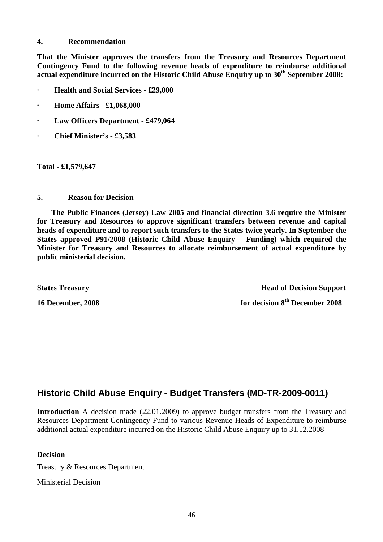#### **4. Recommendation**

**That the Minister approves the transfers from the Treasury and Resources Department Contingency Fund to the following revenue heads of expenditure to reimburse additional actual expenditure incurred on the Historic Child Abuse Enquiry up to 30th September 2008:** 

- **· Health and Social Services £29,000**
- **· Home Affairs £1,068,000**
- **· Law Officers Department £479,064**
- **· Chief Minister's £3,583**

**Total - £1,579,647** 

**5. Reason for Decision** 

 **The Public Finances (Jersey) Law 2005 and financial direction 3.6 require the Minister for Treasury and Resources to approve significant transfers between revenue and capital heads of expenditure and to report such transfers to the States twice yearly. In September the States approved P91/2008 (Historic Child Abuse Enquiry – Funding) which required the Minister for Treasury and Resources to allocate reimbursement of actual expenditure by public ministerial decision.**

**States Treasury Head of Decision Support 16 December, 2008 for decision 8th December 2008** 

## **Historic Child Abuse Enquiry - Budget Transfers (MD-TR-2009-0011)**

**Introduction** A decision made (22.01.2009) to approve budget transfers from the Treasury and Resources Department Contingency Fund to various Revenue Heads of Expenditure to reimburse additional actual expenditure incurred on the Historic Child Abuse Enquiry up to 31.12.2008

#### **Decision**

Treasury & Resources Department

Ministerial Decision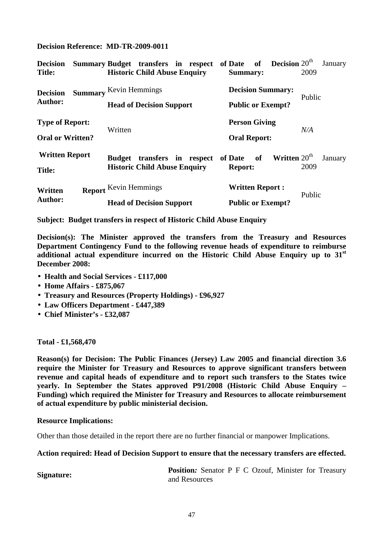**Decision Reference: MD-TR-2009-0011**

| <b>Decision</b><br><b>Title:</b>                  |  |                               | Summary Budget transfers in respect of Date of Decision $20th$<br><b>Historic Child Abuse Enquiry</b> |                        |                          | Summary:                                    |        |                          | 2009 | January |
|---------------------------------------------------|--|-------------------------------|-------------------------------------------------------------------------------------------------------|------------------------|--------------------------|---------------------------------------------|--------|--------------------------|------|---------|
| <b>Decision</b><br><b>Author:</b>                 |  | <b>Summary Kevin Hemmings</b> |                                                                                                       |                        | <b>Decision Summary:</b> |                                             |        | Public                   |      |         |
|                                                   |  |                               | <b>Head of Decision Support</b>                                                                       |                        |                          |                                             |        | <b>Public or Exempt?</b> |      |         |
| <b>Type of Report:</b><br><b>Oral or Written?</b> |  | Written                       |                                                                                                       |                        |                          | <b>Person Giving</b><br><b>Oral Report:</b> |        |                          | N/A  |         |
|                                                   |  |                               |                                                                                                       |                        |                          |                                             |        |                          |      |         |
| Written<br><b>Author:</b>                         |  | <b>Report</b> Kevin Hemmings  |                                                                                                       | <b>Written Report:</b> |                          |                                             | Public |                          |      |         |
|                                                   |  |                               | <b>Head of Decision Support</b>                                                                       |                        |                          |                                             |        | <b>Public or Exempt?</b> |      |         |

**Subject: Budget transfers in respect of Historic Child Abuse Enquiry**

**Decision(s): The Minister approved the transfers from the Treasury and Resources Department Contingency Fund to the following revenue heads of expenditure to reimburse additional actual expenditure incurred on the Historic Child Abuse Enquiry up to 31st December 2008:** 

- **Health and Social Services £117,000**
- **Home Affairs £875,067**
- **Treasury and Resources (Property Holdings) £96,927**
- **Law Officers Department £447,389**
- **Chief Minister's £32,087**

**Total - £1,568,470** 

**Reason(s) for Decision: The Public Finances (Jersey) Law 2005 and financial direction 3.6 require the Minister for Treasury and Resources to approve significant transfers between revenue and capital heads of expenditure and to report such transfers to the States twice yearly. In September the States approved P91/2008 (Historic Child Abuse Enquiry – Funding) which required the Minister for Treasury and Resources to allocate reimbursement of actual expenditure by public ministerial decision.** 

#### **Resource Implications:**

Other than those detailed in the report there are no further financial or manpower Implications.

#### **Action required: Head of Decision Support to ensure that the necessary transfers are effected.**

**Signature: Position:** Senator P F C Ozouf, Minister for Treasury and Resources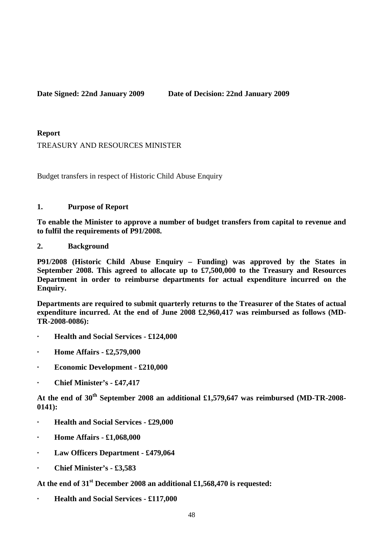**Date Signed: 22nd January 2009 Date of Decision: 22nd January 2009** 

**Report**

TREASURY AND RESOURCES MINISTER

Budget transfers in respect of Historic Child Abuse Enquiry

#### **1. Purpose of Report**

**To enable the Minister to approve a number of budget transfers from capital to revenue and to fulfil the requirements of P91/2008.**

**2. Background** 

**P91/2008 (Historic Child Abuse Enquiry – Funding) was approved by the States in September 2008. This agreed to allocate up to £7,500,000 to the Treasury and Resources Department in order to reimburse departments for actual expenditure incurred on the Enquiry.** 

**Departments are required to submit quarterly returns to the Treasurer of the States of actual expenditure incurred. At the end of June 2008 £2,960,417 was reimbursed as follows (MD-TR-2008-0086):** 

- **· Health and Social Services £124,000**
- **· Home Affairs £2,579,000**
- **· Economic Development £210,000**
- **· Chief Minister's £47,417**

**At the end of 30th September 2008 an additional £1,579,647 was reimbursed (MD-TR-2008- 0141):** 

- **· Health and Social Services £29,000**
- **· Home Affairs £1,068,000**
- **· Law Officers Department £479,064**
- **· Chief Minister's £3,583**

**At the end of 31st December 2008 an additional £1,568,470 is requested:** 

**· Health and Social Services - £117,000**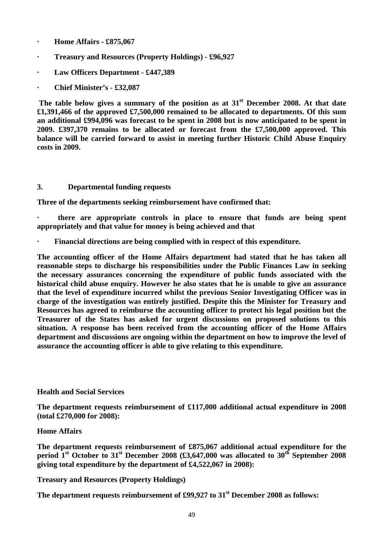- **· Home Affairs £875,067**
- **· Treasury and Resources (Property Holdings) £96,927**
- **· Law Officers Department £447,389**
- **· Chief Minister's £32,087**

 **The table below gives a summary of the position as at 31st December 2008. At that date £1,391,466 of the approved £7,500,000 remained to be allocated to departments. Of this sum an additional £994,096 was forecast to be spent in 2008 but is now anticipated to be spent in 2009. £397,370 remains to be allocated or forecast from the £7,500,000 approved. This balance will be carried forward to assist in meeting further Historic Child Abuse Enquiry costs in 2009.** 

#### **3. Departmental funding requests**

**Three of the departments seeking reimbursement have confirmed that:**

**· there are appropriate controls in place to ensure that funds are being spent appropriately and that value for money is being achieved and that** 

**· Financial directions are being complied with in respect of this expenditure.** 

**The accounting officer of the Home Affairs department had stated that he has taken all reasonable steps to discharge his responsibilities under the Public Finances Law in seeking the necessary assurances concerning the expenditure of public funds associated with the historical child abuse enquiry. However he also states that he is unable to give an assurance that the level of expenditure incurred whilst the previous Senior Investigating Officer was in charge of the investigation was entirely justified. Despite this the Minister for Treasury and Resources has agreed to reimburse the accounting officer to protect his legal position but the Treasurer of the States has asked for urgent discussions on proposed solutions to this situation. A response has been received from the accounting officer of the Home Affairs department and discussions are ongoing within the department on how to improve the level of assurance the accounting officer is able to give relating to this expenditure.** 

#### **Health and Social Services**

**The department requests reimbursement of £117,000 additional actual expenditure in 2008 (total £270,000 for 2008):** 

#### **Home Affairs**

**The department requests reimbursement of £875,067 additional actual expenditure for the period 1st October to 31st December 2008 (£3,647,000 was allocated to 30th September 2008 giving total expenditure by the department of £4,522,067 in 2008):** 

#### **Treasury and Resources (Property Holdings)**

**The department requests reimbursement of £99,927 to 31st December 2008 as follows:**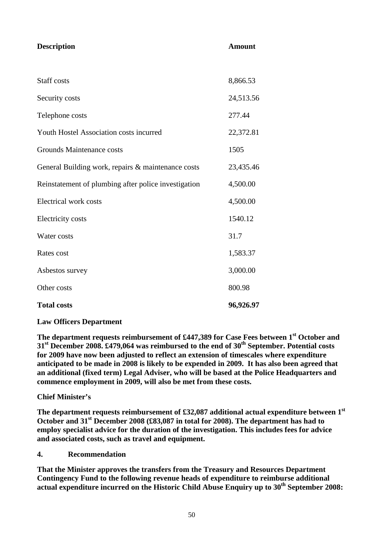| <b>Description</b>                                   | <b>Amount</b> |
|------------------------------------------------------|---------------|
|                                                      |               |
| <b>Staff</b> costs                                   | 8,866.53      |
| Security costs                                       | 24,513.56     |
| Telephone costs                                      | 277.44        |
| Youth Hostel Association costs incurred              | 22,372.81     |
| Grounds Maintenance costs                            | 1505          |
| General Building work, repairs & maintenance costs   | 23,435.46     |
| Reinstatement of plumbing after police investigation | 4,500.00      |
| <b>Electrical work costs</b>                         | 4,500.00      |
| <b>Electricity costs</b>                             | 1540.12       |
| Water costs                                          | 31.7          |
| Rates cost                                           | 1,583.37      |
| Asbestos survey                                      | 3,000.00      |
| Other costs                                          | 800.98        |
| <b>Total costs</b>                                   | 96,926.97     |

#### **Law Officers Department**

**The department requests reimbursement of £447,389 for Case Fees between 1st October and 31st December 2008. £479,064 was reimbursed to the end of 30th September. Potential costs for 2009 have now been adjusted to reflect an extension of timescales where expenditure anticipated to be made in 2008 is likely to be expended in 2009. It has also been agreed that an additional (fixed term) Legal Adviser, who will be based at the Police Headquarters and commence employment in 2009, will also be met from these costs.** 

#### **Chief Minister's**

**The department requests reimbursement of £32,087 additional actual expenditure between 1st October and 31st December 2008 (£83,087 in total for 2008). The department has had to employ specialist advice for the duration of the investigation. This includes fees for advice and associated costs, such as travel and equipment.** 

#### **4. Recommendation**

**That the Minister approves the transfers from the Treasury and Resources Department Contingency Fund to the following revenue heads of expenditure to reimburse additional actual expenditure incurred on the Historic Child Abuse Enquiry up to 30th September 2008:**